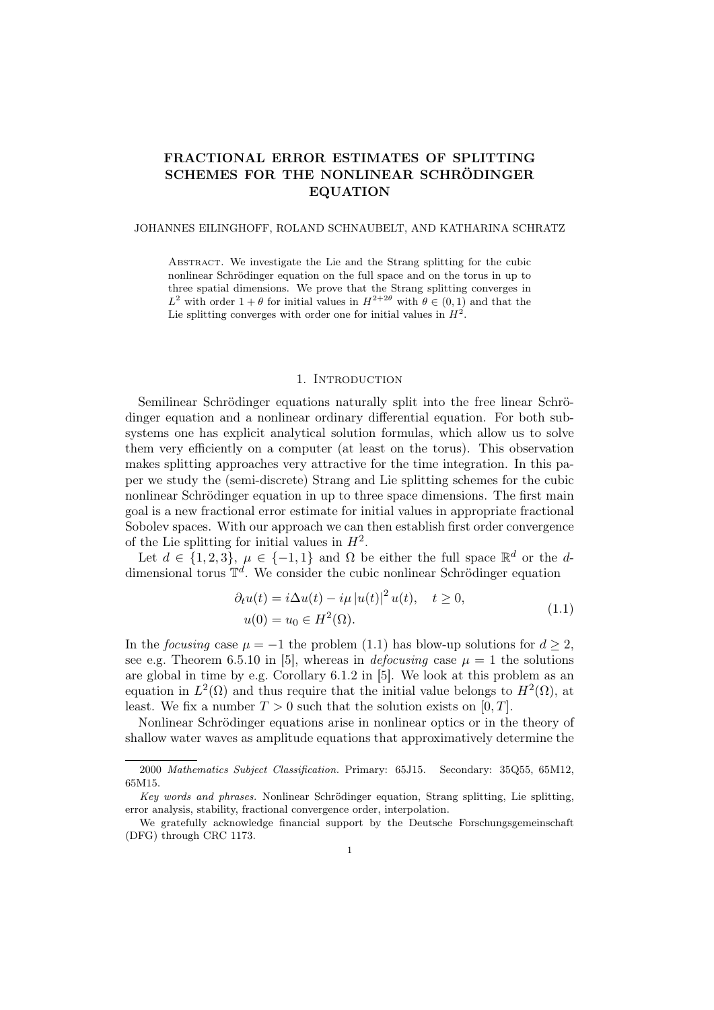# FRACTIONAL ERROR ESTIMATES OF SPLITTING SCHEMES FOR THE NONLINEAR SCHRÖDINGER EQUATION

#### JOHANNES EILINGHOFF, ROLAND SCHNAUBELT, AND KATHARINA SCHRATZ

Abstract. We investigate the Lie and the Strang splitting for the cubic nonlinear Schrödinger equation on the full space and on the torus in up to three spatial dimensions. We prove that the Strang splitting converges in  $L^2$  with order  $1 + \theta$  for initial values in  $H^{2+2\theta}$  with  $\theta \in (0,1)$  and that the Lie splitting converges with order one for initial values in  $H^2$ .

#### 1. INTRODUCTION

Semilinear Schrödinger equations naturally split into the free linear Schrödinger equation and a nonlinear ordinary differential equation. For both subsystems one has explicit analytical solution formulas, which allow us to solve them very efficiently on a computer (at least on the torus). This observation makes splitting approaches very attractive for the time integration. In this paper we study the (semi-discrete) Strang and Lie splitting schemes for the cubic nonlinear Schrödinger equation in up to three space dimensions. The first main goal is a new fractional error estimate for initial values in appropriate fractional Sobolev spaces. With our approach we can then establish first order convergence of the Lie splitting for initial values in  $H^2$ .

Let  $d \in \{1,2,3\}, \mu \in \{-1,1\}$  and  $\Omega$  be either the full space  $\mathbb{R}^d$  or the ddimensional torus  $\mathbb{T}^d$ . We consider the cubic nonlinear Schrödinger equation

$$
\partial_t u(t) = i \Delta u(t) - i\mu |u(t)|^2 u(t), \quad t \ge 0,
$$
  
 
$$
u(0) = u_0 \in H^2(\Omega).
$$
 (1.1)

In the focusing case  $\mu = -1$  the problem (1.1) has blow-up solutions for  $d \geq 2$ , see e.g. Theorem 6.5.10 in [5], whereas in *defocusing* case  $\mu = 1$  the solutions are global in time by e.g. Corollary 6.1.2 in [5]. We look at this problem as an equation in  $L^2(\Omega)$  and thus require that the initial value belongs to  $H^2(\Omega)$ , at least. We fix a number  $T > 0$  such that the solution exists on [0, T].

Nonlinear Schrödinger equations arise in nonlinear optics or in the theory of shallow water waves as amplitude equations that approximatively determine the

<sup>2000</sup> Mathematics Subject Classification. Primary: 65J15. Secondary: 35Q55, 65M12, 65M15.

Key words and phrases. Nonlinear Schrödinger equation, Strang splitting, Lie splitting, error analysis, stability, fractional convergence order, interpolation.

We gratefully acknowledge financial support by the Deutsche Forschungsgemeinschaft (DFG) through CRC 1173.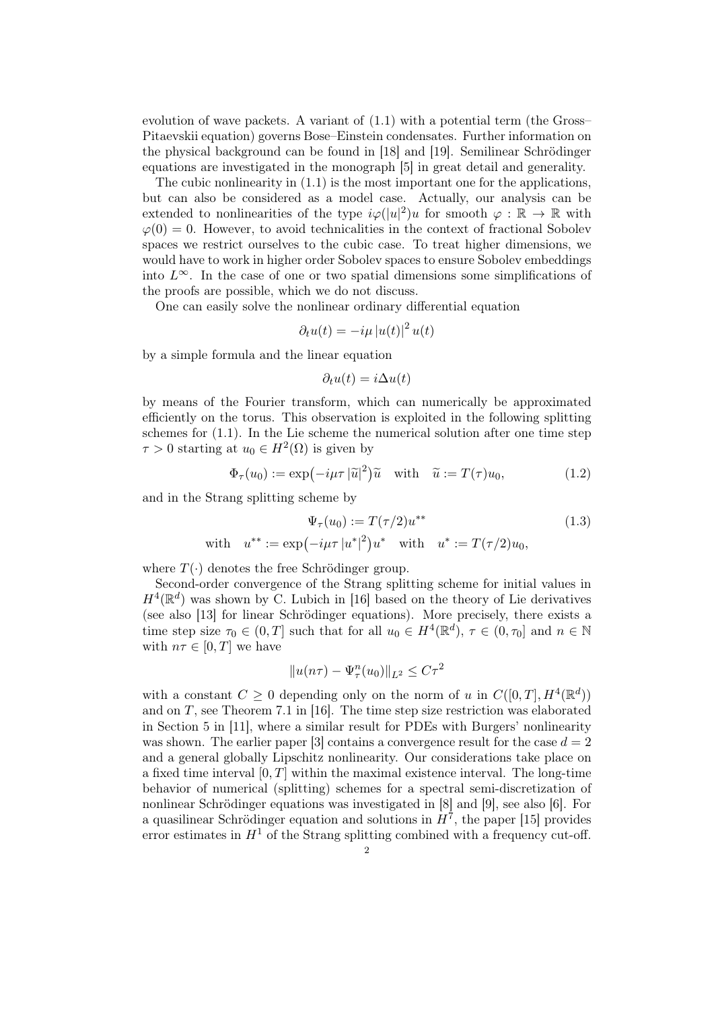evolution of wave packets. A variant of (1.1) with a potential term (the Gross– Pitaevskii equation) governs Bose–Einstein condensates. Further information on the physical background can be found in [18] and [19]. Semilinear Schrödinger equations are investigated in the monograph [5] in great detail and generality.

The cubic nonlinearity in (1.1) is the most important one for the applications, but can also be considered as a model case. Actually, our analysis can be extended to nonlinearities of the type  $i\varphi(|u|^2)u$  for smooth  $\varphi : \mathbb{R} \to \mathbb{R}$  with  $\varphi(0) = 0$ . However, to avoid technicalities in the context of fractional Sobolev spaces we restrict ourselves to the cubic case. To treat higher dimensions, we would have to work in higher order Sobolev spaces to ensure Sobolev embeddings into  $L^{\infty}$ . In the case of one or two spatial dimensions some simplifications of the proofs are possible, which we do not discuss.

One can easily solve the nonlinear ordinary differential equation

$$
\partial_t u(t) = -i\mu |u(t)|^2 u(t)
$$

by a simple formula and the linear equation

$$
\partial_t u(t) = i \Delta u(t)
$$

by means of the Fourier transform, which can numerically be approximated efficiently on the torus. This observation is exploited in the following splitting schemes for (1.1). In the Lie scheme the numerical solution after one time step  $\tau > 0$  starting at  $u_0 \in H^2(\Omega)$  is given by

$$
\Phi_{\tau}(u_0) := \exp(-i\mu \tau |\tilde{u}|^2)\tilde{u} \quad \text{with} \quad \tilde{u} := T(\tau)u_0,\tag{1.2}
$$

and in the Strang splitting scheme by

$$
\Psi_{\tau}(u_0) := T(\tau/2)u^{**}
$$
\nwith  $u^{**} := \exp(-i\mu\tau |u^*|^2)u^*$  with  $u^* := T(\tau/2)u_0$ ,\n
$$
(1.3)
$$

where  $T(\cdot)$  denotes the free Schrödinger group.

Second-order convergence of the Strang splitting scheme for initial values in  $H^4(\mathbb{R}^d)$  was shown by C. Lubich in [16] based on the theory of Lie derivatives (see also [13] for linear Schrödinger equations). More precisely, there exists a time step size  $\tau_0 \in (0,T]$  such that for all  $u_0 \in H^4(\mathbb{R}^d)$ ,  $\tau \in (0,\tau_0]$  and  $n \in \mathbb{N}$ with  $n\tau \in [0, T]$  we have

$$
||u(n\tau) - \Psi_\tau^n(u_0)||_{L^2} \leq C\tau^2
$$

with a constant  $C \geq 0$  depending only on the norm of u in  $C([0,T], H^4(\mathbb{R}^d))$ and on  $T$ , see Theorem 7.1 in [16]. The time step size restriction was elaborated in Section 5 in [11], where a similar result for PDEs with Burgers' nonlinearity was shown. The earlier paper [3] contains a convergence result for the case  $d = 2$ and a general globally Lipschitz nonlinearity. Our considerations take place on a fixed time interval  $[0, T]$  within the maximal existence interval. The long-time behavior of numerical (splitting) schemes for a spectral semi-discretization of nonlinear Schrödinger equations was investigated in [8] and [9], see also [6]. For a quasilinear Schrödinger equation and solutions in  $H^7$ , the paper [15] provides error estimates in  $H<sup>1</sup>$  of the Strang splitting combined with a frequency cut-off.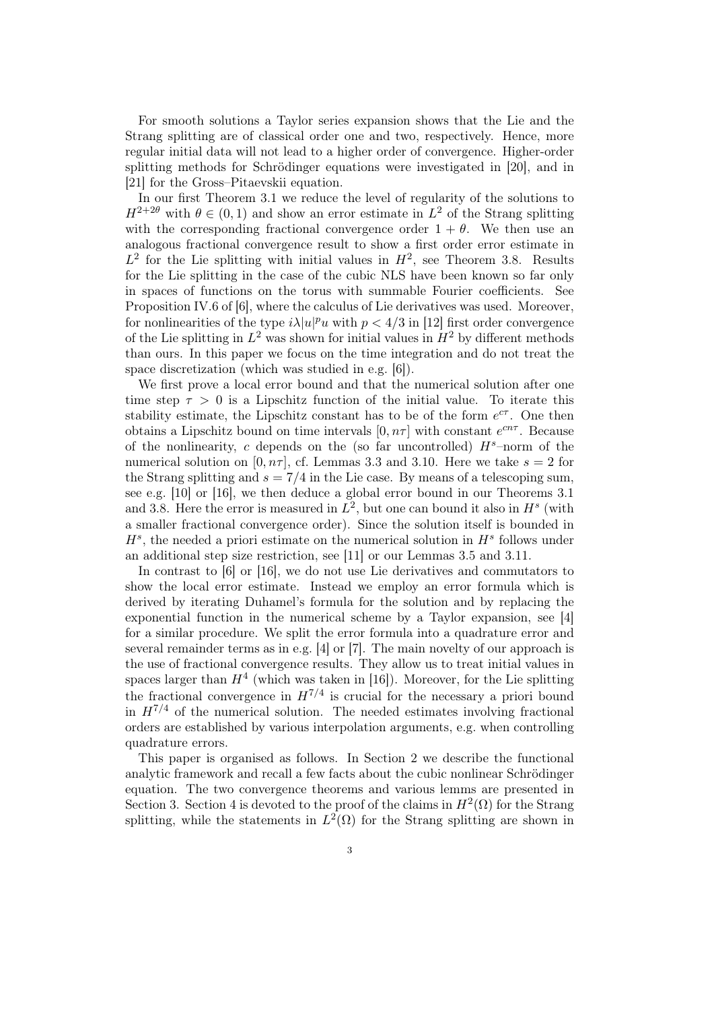For smooth solutions a Taylor series expansion shows that the Lie and the Strang splitting are of classical order one and two, respectively. Hence, more regular initial data will not lead to a higher order of convergence. Higher-order splitting methods for Schrödinger equations were investigated in [20], and in [21] for the Gross–Pitaevskii equation.

In our first Theorem 3.1 we reduce the level of regularity of the solutions to  $H^{2+2\theta}$  with  $\theta \in (0,1)$  and show an error estimate in  $L^2$  of the Strang splitting with the corresponding fractional convergence order  $1 + \theta$ . We then use an analogous fractional convergence result to show a first order error estimate in  $L^2$  for the Lie splitting with initial values in  $H^2$ , see Theorem 3.8. Results for the Lie splitting in the case of the cubic NLS have been known so far only in spaces of functions on the torus with summable Fourier coefficients. See Proposition IV.6 of [6], where the calculus of Lie derivatives was used. Moreover, for nonlinearities of the type  $i\lambda|u|^p u$  with  $p < 4/3$  in [12] first order convergence of the Lie splitting in  $L^2$  was shown for initial values in  $H^2$  by different methods than ours. In this paper we focus on the time integration and do not treat the space discretization (which was studied in e.g. [6]).

We first prove a local error bound and that the numerical solution after one time step  $\tau > 0$  is a Lipschitz function of the initial value. To iterate this stability estimate, the Lipschitz constant has to be of the form  $e^{c\tau}$ . One then obtains a Lipschitz bound on time intervals  $[0, n\tau]$  with constant  $e^{cn\tau}$ . Because of the nonlinearity, c depends on the (so far uncontrolled)  $H<sup>s</sup>$ -norm of the numerical solution on [0,  $n\tau$ ], cf. Lemmas 3.3 and 3.10. Here we take  $s = 2$  for the Strang splitting and  $s = 7/4$  in the Lie case. By means of a telescoping sum, see e.g. [10] or [16], we then deduce a global error bound in our Theorems 3.1 and 3.8. Here the error is measured in  $L^2$ , but one can bound it also in  $H^s$  (with a smaller fractional convergence order). Since the solution itself is bounded in  $H<sup>s</sup>$ , the needed a priori estimate on the numerical solution in  $H<sup>s</sup>$  follows under an additional step size restriction, see [11] or our Lemmas 3.5 and 3.11.

In contrast to [6] or [16], we do not use Lie derivatives and commutators to show the local error estimate. Instead we employ an error formula which is derived by iterating Duhamel's formula for the solution and by replacing the exponential function in the numerical scheme by a Taylor expansion, see [4] for a similar procedure. We split the error formula into a quadrature error and several remainder terms as in e.g. [4] or [7]. The main novelty of our approach is the use of fractional convergence results. They allow us to treat initial values in spaces larger than  $H<sup>4</sup>$  (which was taken in [16]). Moreover, for the Lie splitting the fractional convergence in  $H^{7/4}$  is crucial for the necessary a priori bound in  $H^{7/4}$  of the numerical solution. The needed estimates involving fractional orders are established by various interpolation arguments, e.g. when controlling quadrature errors.

This paper is organised as follows. In Section 2 we describe the functional analytic framework and recall a few facts about the cubic nonlinear Schrödinger equation. The two convergence theorems and various lemms are presented in Section 3. Section 4 is devoted to the proof of the claims in  $H^2(\Omega)$  for the Strang splitting, while the statements in  $L^2(\Omega)$  for the Strang splitting are shown in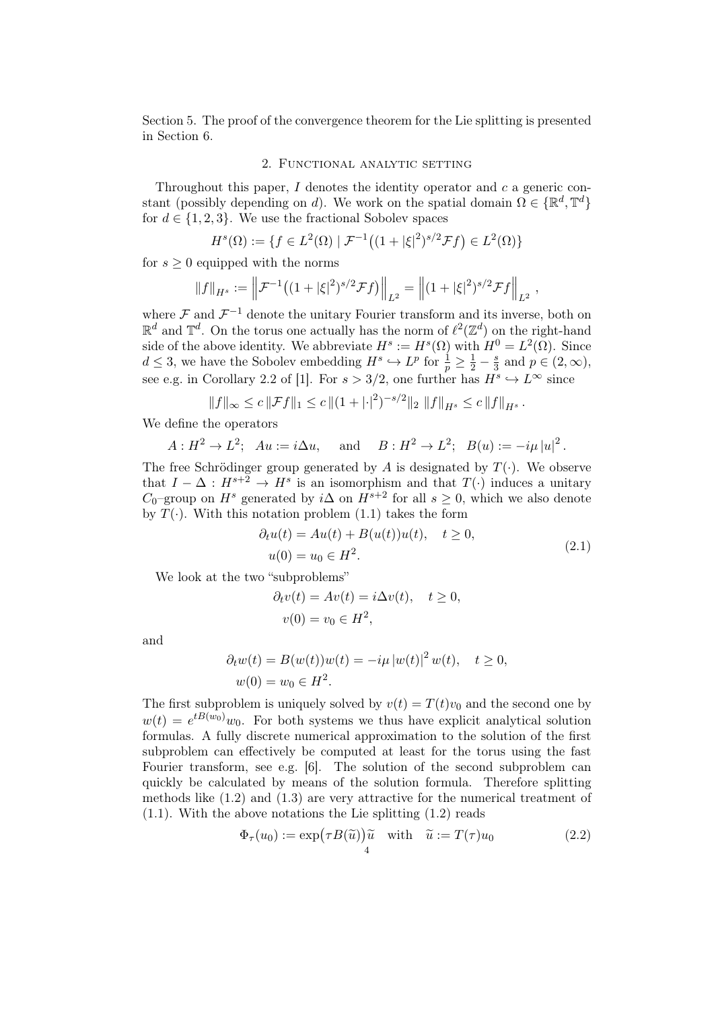Section 5. The proof of the convergence theorem for the Lie splitting is presented in Section 6.

## 2. Functional analytic setting

Throughout this paper,  $I$  denotes the identity operator and  $c$  a generic constant (possibly depending on d). We work on the spatial domain  $\Omega \in \{ \mathbb{R}^d, \mathbb{T}^d \}$ for  $d \in \{1, 2, 3\}$ . We use the fractional Sobolev spaces

$$
H^{s}(\Omega) := \{ f \in L^{2}(\Omega) \mid \mathcal{F}^{-1}\big( (1 + |\xi|^{2})^{s/2} \mathcal{F} f \big) \in L^{2}(\Omega) \}
$$

for  $s \geq 0$  equipped with the norms

$$
||f||_{H^s} := \left\|\mathcal{F}^{-1}\big((1+|\xi|^2)^{s/2}\mathcal{F}f\big)\right\|_{L^2} = \left\|(1+|\xi|^2)^{s/2}\mathcal{F}f\right\|_{L^2},
$$

where  $\mathcal F$  and  $\mathcal F^{-1}$  denote the unitary Fourier transform and its inverse, both on  $\mathbb{R}^d$  and  $\mathbb{T}^d$ . On the torus one actually has the norm of  $\ell^2(\mathbb{Z}^d)$  on the right-hand side of the above identity. We abbreviate  $H^s := H^s(\Omega)$  with  $H^0 = L^2(\Omega)$ . Since  $d \leq 3$ , we have the Sobolev embedding  $H^s \hookrightarrow L^p$  for  $\frac{1}{p} \geq \frac{1}{2} - \frac{s}{3}$  $\frac{s}{3}$  and  $p \in (2,\infty)$ , see e.g. in Corollary 2.2 of [1]. For  $s > 3/2$ , one further has  $H^s \hookrightarrow L^{\infty}$  since

$$
||f||_{\infty} \leq c ||\mathcal{F}f||_1 \leq c ||(1+|\cdot|^2)^{-s/2}||_2 ||f||_{H^s} \leq c ||f||_{H^s}.
$$

We define the operators

 $A: H^2 \to L^2$ ;  $Au := i\Delta u$ , and  $B: H^2 \to L^2$ ;  $B(u) := -i\mu |u|^2$ .

The free Schrödinger group generated by  $A$  is designated by  $T(\cdot)$ . We observe that  $I - \Delta : H^{s+2} \to H^s$  is an isomorphism and that  $T(\cdot)$  induces a unitary  $C_0$ –group on  $H^s$  generated by  $i\Delta$  on  $H^{s+2}$  for all  $s \geq 0$ , which we also denote by  $T(\cdot)$ . With this notation problem (1.1) takes the form

$$
\partial_t u(t) = Au(t) + B(u(t))u(t), \quad t \ge 0,
$$
  
 
$$
u(0) = u_0 \in H^2.
$$
 (2.1)

We look at the two "subproblems"

$$
\partial_t v(t) = Av(t) = i\Delta v(t), \quad t \ge 0,
$$
  

$$
v(0) = v_0 \in H^2,
$$

and

$$
\partial_t w(t) = B(w(t))w(t) = -i\mu |w(t)|^2 w(t), \quad t \ge 0,
$$
  

$$
w(0) = w_0 \in H^2.
$$

The first subproblem is uniquely solved by  $v(t) = T(t)v_0$  and the second one by  $w(t) = e^{tB(w_0)}w_0$ . For both systems we thus have explicit analytical solution formulas. A fully discrete numerical approximation to the solution of the first subproblem can effectively be computed at least for the torus using the fast Fourier transform, see e.g. [6]. The solution of the second subproblem can quickly be calculated by means of the solution formula. Therefore splitting methods like  $(1.2)$  and  $(1.3)$  are very attractive for the numerical treatment of  $(1.1)$ . With the above notations the Lie splitting  $(1.2)$  reads

$$
\Phi_{\tau}(u_0) := \exp(\tau B(\tilde{u})) \tilde{u} \quad \text{with} \quad \tilde{u} := T(\tau)u_0 \tag{2.2}
$$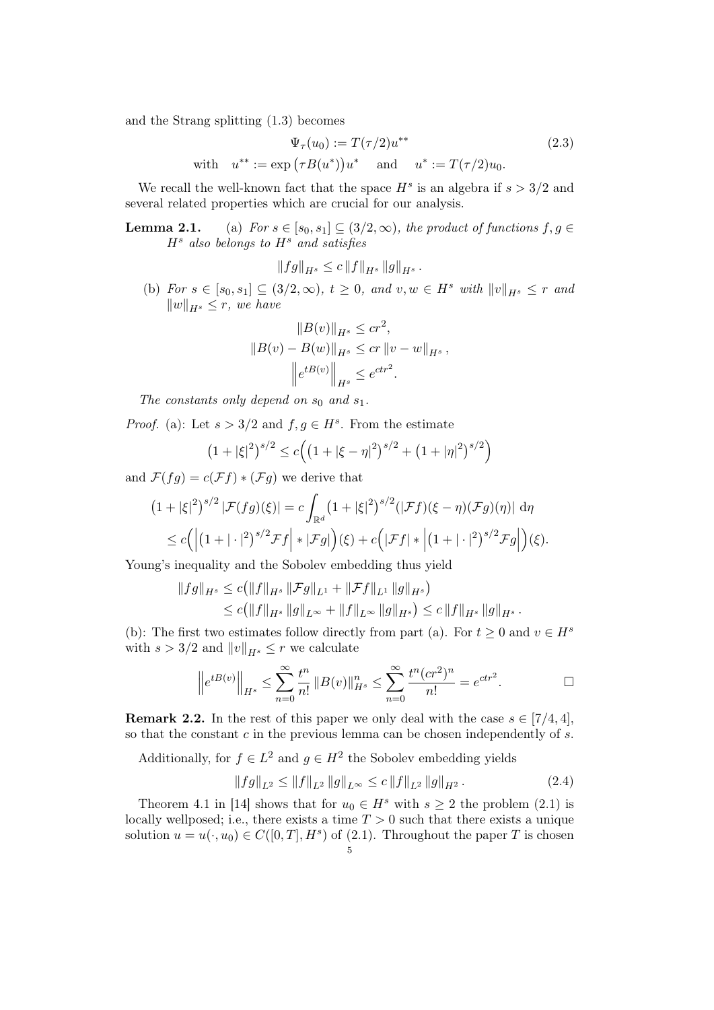and the Strang splitting (1.3) becomes

$$
\Psi_{\tau}(u_0) := T(\tau/2)u^{**}
$$
\nwith  $u^{**} := \exp(\tau B(u^*))u^*$  and  $u^* := T(\tau/2)u_0$ . (2.3)

We recall the well-known fact that the space  $H^s$  is an algebra if  $s > 3/2$  and several related properties which are crucial for our analysis.

**Lemma 2.1.** (a) For  $s \in [s_0, s_1] \subseteq (3/2, \infty)$ , the product of functions  $f, g \in$  $H<sup>s</sup>$  also belongs to  $H<sup>s</sup>$  and satisfies

$$
||fg||_{H^s} \le c ||f||_{H^s} ||g||_{H^s}.
$$

(b) For  $s \in [s_0, s_1] \subseteq (3/2, \infty)$ ,  $t \geq 0$ , and  $v, w \in H^s$  with  $||v||_{H^s} \leq r$  and  $||w||_{H^s} \leq r$ , we have

$$
||B(v)||_{H^{s}} \leq cr^{2},
$$
  
\n
$$
||B(v) - B(w)||_{H^{s}} \leq cr ||v - w||_{H^{s}},
$$
  
\n
$$
||e^{tB(v)}||_{H^{s}} \leq e^{ctr^{2}}.
$$

The constants only depend on  $s_0$  and  $s_1$ .

*Proof.* (a): Let  $s > 3/2$  and  $f, g \in H^s$ . From the estimate

$$
(1+|\xi|^2)^{s/2} \le c\Big(\big(1+|\xi-\eta|^2\big)^{s/2} + \big(1+|\eta|^2\big)^{s/2}\Big)
$$

and  $\mathcal{F}(fg) = c(\mathcal{F}f) * (\mathcal{F}g)$  we derive that

$$
(1+|\xi|^2)^{s/2} |\mathcal{F}(fg)(\xi)| = c \int_{\mathbb{R}^d} (1+|\xi|^2)^{s/2} (|\mathcal{F}f)(\xi-\eta)(\mathcal{F}g)(\eta)| d\eta
$$
  
\$\leq c \left( \left| (1+|\cdot|^2)^{s/2} \mathcal{F}f \right| \* |\mathcal{F}g| \right)(\xi) + c \left( |\mathcal{F}f| \* \left| (1+|\cdot|^2)^{s/2} \mathcal{F}g \right| \right)(\xi).

Young's inequality and the Sobolev embedding thus yield

$$
||fg||_{H^{s}} \le c(||f||_{H^{s}} ||\mathcal{F}g||_{L^{1}} + ||\mathcal{F}f||_{L^{1}} ||g||_{H^{s}})
$$
  

$$
\le c(||f||_{H^{s}} ||g||_{L^{\infty}} + ||f||_{L^{\infty}} ||g||_{H^{s}}) \le c||f||_{H^{s}} ||g||_{H^{s}}.
$$

(b): The first two estimates follow directly from part (a). For  $t \geq 0$  and  $v \in H^s$ with  $s > 3/2$  and  $||v||_{H^s} \leq r$  we calculate

$$
\left\|e^{tB(v)}\right\|_{H^s} \le \sum_{n=0}^{\infty} \frac{t^n}{n!} \left\|B(v)\right\|_{H^s}^n \le \sum_{n=0}^{\infty} \frac{t^n (cr^2)^n}{n!} = e^{ctr^2}.
$$

**Remark 2.2.** In the rest of this paper we only deal with the case  $s \in [7/4, 4]$ , so that the constant  $c$  in the previous lemma can be chosen independently of  $s$ .

Additionally, for  $f \in L^2$  and  $g \in H^2$  the Sobolev embedding yields

$$
||fg||_{L^{2}} \le ||f||_{L^{2}} ||g||_{L^{\infty}} \le c ||f||_{L^{2}} ||g||_{H^{2}}.
$$
\n(2.4)

Theorem 4.1 in [14] shows that for  $u_0 \in H^s$  with  $s \geq 2$  the problem (2.1) is locally wellposed; i.e., there exists a time  $T > 0$  such that there exists a unique solution  $u = u(\cdot, u_0) \in C([0, T], H^s)$  of  $(2.1)$ . Throughout the paper T is chosen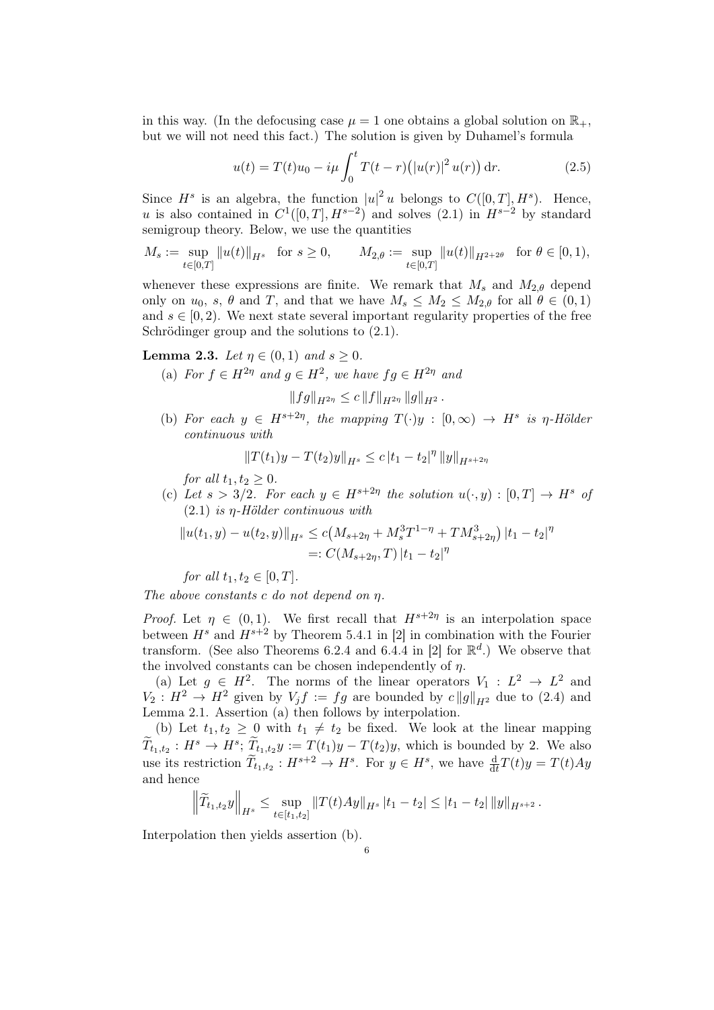in this way. (In the defocusing case  $\mu = 1$  one obtains a global solution on  $\mathbb{R}_+$ , but we will not need this fact.) The solution is given by Duhamel's formula

$$
u(t) = T(t)u_0 - i\mu \int_0^t T(t - r) (|u(r)|^2 u(r)) dr.
$$
 (2.5)

Since  $H^s$  is an algebra, the function  $|u|^2 u$  belongs to  $C([0,T], H^s)$ . Hence, u is also contained in  $C^1([0,T], H^{s-2})$  and solves  $(2.1)$  in  $H^{s-2}$  by standard semigroup theory. Below, we use the quantities

$$
M_s:=\sup_{t\in[0,T]}\|u(t)\|_{H^s}\quad\text{for $s\ge 0$,}\qquad M_{2,\theta}:=\sup_{t\in[0,T]}\|u(t)\|_{H^{2+2\theta}}\quad\text{for $\theta\in[0,1)$},
$$

whenever these expressions are finite. We remark that  $M_s$  and  $M_{2,\theta}$  depend only on  $u_0$ , s,  $\theta$  and T, and that we have  $M_s \leq M_2 \leq M_{2,\theta}$  for all  $\theta \in (0,1)$ and  $s \in [0, 2)$ . We next state several important regularity properties of the free Schrödinger group and the solutions to  $(2.1)$ .

**Lemma 2.3.** Let  $\eta \in (0,1)$  and  $s \geq 0$ .

(a) For  $f \in H^{2\eta}$  and  $g \in H^2$ , we have  $fg \in H^{2\eta}$  and

$$
||fg||_{H^{2\eta}} \leq c ||f||_{H^{2\eta}} ||g||_{H^2}.
$$

(b) For each  $y \in H^{s+2\eta}$ , the mapping  $T(\cdot)y : [0, \infty) \to H^s$  is  $\eta$ -Hölder continuous with

$$
||T(t_1)y - T(t_2)y||_{H^s} \le c |t_1 - t_2|^\eta ||y||_{H^{s+2\eta}}
$$

for all  $t_1, t_2 \geq 0$ .

(c) Let  $s > 3/2$ . For each  $y \in H^{s+2\eta}$  the solution  $u(\cdot, y) : [0, T] \to H^s$  of  $(2.1)$  is  $\eta$ -Hölder continuous with

$$
||u(t_1, y) - u(t_2, y)||_{H^s} \le c(M_{s+2\eta} + M_s^3 T^{1-\eta} + TM_{s+2\eta}^3) |t_1 - t_2|^\eta
$$
  
=:  $C(M_{s+2\eta}, T) |t_1 - t_2|^\eta$ 

for all  $t_1, t_2 \in [0, T]$ .

The above constants c do not depend on  $\eta$ .

*Proof.* Let  $\eta \in (0,1)$ . We first recall that  $H^{s+2\eta}$  is an interpolation space between  $H^s$  and  $H^{s+2}$  by Theorem 5.4.1 in [2] in combination with the Fourier transform. (See also Theorems 6.2.4 and 6.4.4 in [2] for  $\mathbb{R}^d$ .) We observe that the involved constants can be chosen independently of  $n$ .

(a) Let  $g \in H^2$ . The norms of the linear operators  $V_1 : L^2 \to L^2$  and  $V_2: H^2 \to H^2$  given by  $V_j f := fg$  are bounded by  $c \|g\|_{H^2}$  due to (2.4) and Lemma 2.1. Assertion (a) then follows by interpolation.

(b) Let  $t_1, t_2 \geq 0$  with  $t_1 \neq t_2$  be fixed. We look at the linear mapping  $\widetilde{T}_{t_1,t_2}: H^s \to H^s$ ;  $\widetilde{T}_{t_1,t_2}y := T(t_1)y - T(t_2)y$ , which is bounded by 2. We also use its restriction  $\widetilde{T}_{t_1,t_2}: H^{s+2} \to H^s$ . For  $y \in H^s$ , we have  $\frac{d}{dt}T(t)y = T(t)Ay$ and hence

$$
\left\|\widetilde{T}_{t_1,t_2}y\right\|_{H^s}\leq \sup_{t\in[t_1,t_2]}\left\|T(t)Ay\right\|_{H^s}|t_1-t_2|\leq |t_1-t_2|\left\|y\right\|_{H^{s+2}}.
$$

Interpolation then yields assertion (b).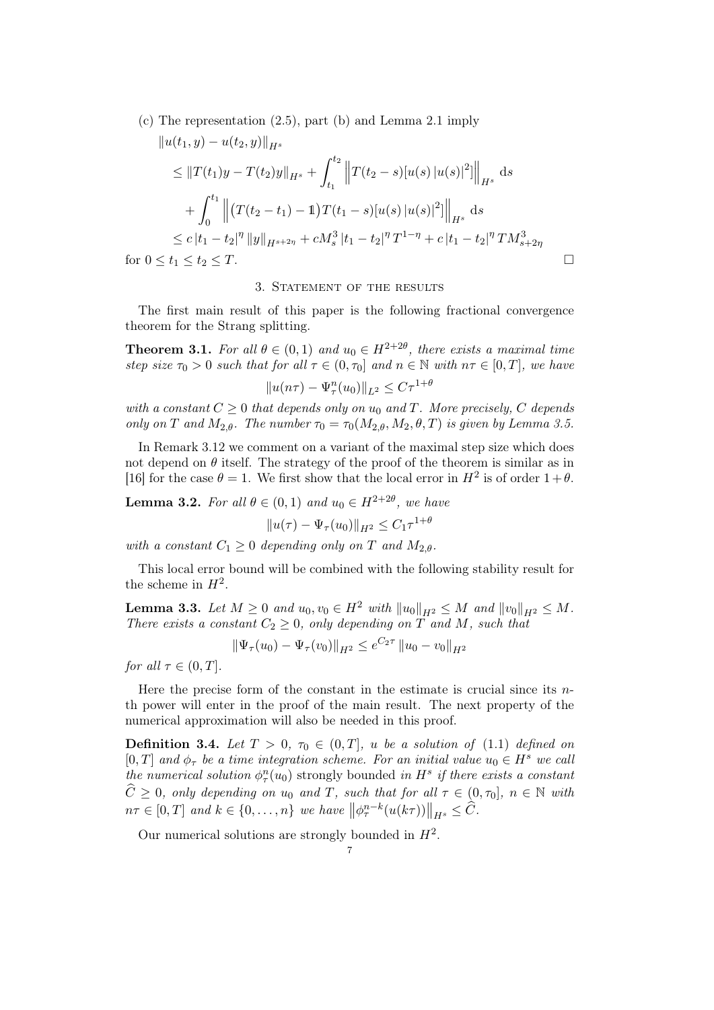(c) The representation (2.5), part (b) and Lemma 2.1 imply

$$
||u(t_1, y) - u(t_2, y)||_{H^s}
$$
  
\n
$$
\leq ||T(t_1)y - T(t_2)y||_{H^s} + \int_{t_1}^{t_2} ||T(t_2 - s)[u(s) |u(s)|^2]||_{H^s} ds
$$
  
\n
$$
+ \int_0^{t_1} ||(T(t_2 - t_1) - 1)T(t_1 - s)[u(s) |u(s)|^2]||_{H^s} ds
$$
  
\n
$$
\leq c |t_1 - t_2|^{\eta} ||y||_{H^{s+2\eta}} + cM_s^3 |t_1 - t_2|^{\eta} T^{1-\eta} + c |t_1 - t_2|^{\eta} T M_{s+2\eta}^3
$$
  
\nfor  $0 \leq t_1 \leq t_2 \leq T$ .

### 3. STATEMENT OF THE RESULTS

The first main result of this paper is the following fractional convergence theorem for the Strang splitting.

**Theorem 3.1.** For all  $\theta \in (0,1)$  and  $u_0 \in H^{2+2\theta}$ , there exists a maximal time step size  $\tau_0 > 0$  such that for all  $\tau \in (0, \tau_0]$  and  $n \in \mathbb{N}$  with  $n\tau \in [0, T]$ , we have

$$
||u(n\tau) - \Psi_\tau^n(u_0)||_{L^2} \leq C\tau^{1+\theta}
$$

with a constant  $C \geq 0$  that depends only on  $u_0$  and T. More precisely, C depends only on T and  $M_{2,\theta}$ . The number  $\tau_0 = \tau_0(M_{2,\theta}, M_2, \theta, T)$  is given by Lemma 3.5.

In Remark 3.12 we comment on a variant of the maximal step size which does not depend on  $\theta$  itself. The strategy of the proof of the theorem is similar as in [16] for the case  $\theta = 1$ . We first show that the local error in  $H^2$  is of order  $1 + \theta$ .

**Lemma 3.2.** For all  $\theta \in (0,1)$  and  $u_0 \in H^{2+2\theta}$ , we have

 $||u(\tau) - \Psi_{\tau}(u_0)||_{H^2} \leq C_1 \tau^{1+\theta}$ 

with a constant  $C_1 > 0$  depending only on T and  $M_2$   $\theta$ .

This local error bound will be combined with the following stability result for the scheme in  $H^2$ .

**Lemma 3.3.** Let  $M \geq 0$  and  $u_0, v_0 \in H^2$  with  $||u_0||_{H^2} \leq M$  and  $||v_0||_{H^2} \leq M$ . There exists a constant  $C_2 \geq 0$ , only depending on T and M, such that

$$
\|\Psi_{\tau}(u_0) - \Psi_{\tau}(v_0)\|_{H^2} \le e^{C_2 \tau} \|u_0 - v_0\|_{H^2}
$$

for all  $\tau \in (0, T]$ .

Here the precise form of the constant in the estimate is crucial since its  $n$ th power will enter in the proof of the main result. The next property of the numerical approximation will also be needed in this proof.

**Definition 3.4.** Let  $T > 0$ ,  $\tau_0 \in (0, T]$ , u be a solution of (1.1) defined on [0, T] and  $\phi_{\tau}$  be a time integration scheme. For an initial value  $u_0 \in H^s$  we call the numerical solution  $\phi_{\tau}^{n}(u_0)$  strongly bounded in  $H^s$  if there exists a constant  $\hat{C} \geq 0$ , only depending on u<sub>0</sub> and T, such that for all  $\tau \in (0, \tau_0]$ ,  $n \in \mathbb{N}$  with  $n\tau \in [0,T]$  and  $k \in \{0,\ldots,n\}$  we have  $\left\|\phi_{\tau}^{n-k}(u(k\tau))\right\|_{H^s} \leq \widehat{C}$ .

Our numerical solutions are strongly bounded in  $H^2$ .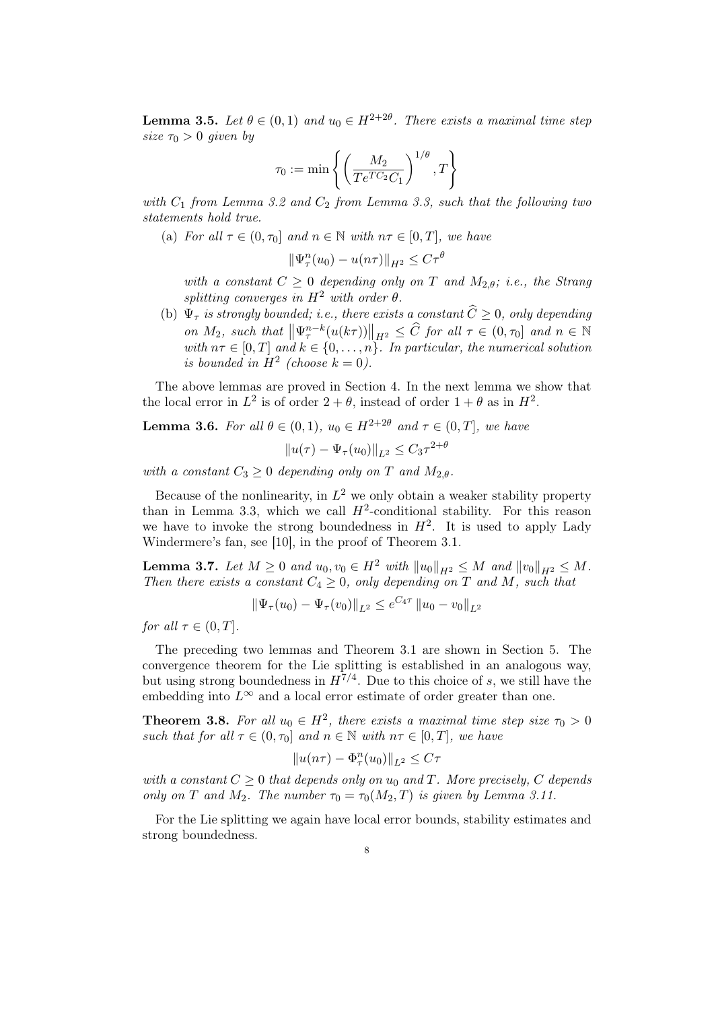**Lemma 3.5.** Let  $\theta \in (0,1)$  and  $u_0 \in H^{2+2\theta}$ . There exists a maximal time step size  $\tau_0 > 0$  given by

$$
\tau_0 := \min \left\{ \left( \frac{M_2}{Te^{TC_2}C_1} \right)^{1/\theta}, T \right\}
$$

with  $C_1$  from Lemma 3.2 and  $C_2$  from Lemma 3.3, such that the following two statements hold true.

(a) For all  $\tau \in (0, \tau_0]$  and  $n \in \mathbb{N}$  with  $n\tau \in [0, T]$ , we have

 $\|\Psi_{\tau}^n(u_0) - u(n\tau)\|_{H^2} \leq C\tau^{\theta}$ 

with a constant  $C \geq 0$  depending only on T and  $M_{2,\theta}$ ; i.e., the Strang splitting converges in  $H^2$  with order  $\theta$ .

(b)  $\Psi_{\tau}$  is strongly bounded; i.e., there exists a constant  $\widehat{C} \geq 0$ , only depending on  $M_2$ , such that  $\left\|\Psi_{\tau}^{n-k}(u(k\tau))\right\|_{H^2} \leq \widehat{C}$  for all  $\tau \in (0, \tau_0]$  and  $n \in \mathbb{N}$ with  $n\tau \in [0, T]$  and  $k \in \{0, \ldots, n\}$ . In particular, the numerical solution is bounded in  $H^2$  (choose  $k = 0$ ).

The above lemmas are proved in Section 4. In the next lemma we show that the local error in  $L^2$  is of order  $2 + \theta$ , instead of order  $1 + \theta$  as in  $H^2$ .

**Lemma 3.6.** For all  $\theta \in (0,1)$ ,  $u_0 \in H^{2+2\theta}$  and  $\tau \in (0,T]$ , we have  $||u(\tau) - \Psi_{\tau}(u_0)||_{L^2} \leq C_3 \tau^{2+\theta}$ 

with a constant  $C_3 \geq 0$  depending only on T and  $M_{2,\theta}$ .

Because of the nonlinearity, in  $L^2$  we only obtain a weaker stability property than in Lemma 3.3, which we call  $H^2$ -conditional stability. For this reason we have to invoke the strong boundedness in  $H^2$ . It is used to apply Lady Windermere's fan, see [10], in the proof of Theorem 3.1.

**Lemma 3.7.** Let  $M \ge 0$  and  $u_0, v_0 \in H^2$  with  $||u_0||_{H^2} \le M$  and  $||v_0||_{H^2} \le M$ . Then there exists a constant  $C_4 \geq 0$ , only depending on T and M, such that

$$
\|\Psi_{\tau}(u_0) - \Psi_{\tau}(v_0)\|_{L^2} \le e^{C_4 \tau} \|u_0 - v_0\|_{L^2}
$$

for all  $\tau \in (0, T]$ .

The preceding two lemmas and Theorem 3.1 are shown in Section 5. The convergence theorem for the Lie splitting is established in an analogous way, but using strong boundedness in  $H^{7/4}$ . Due to this choice of s, we still have the embedding into  $L^{\infty}$  and a local error estimate of order greater than one.

**Theorem 3.8.** For all  $u_0 \in H^2$ , there exists a maximal time step size  $\tau_0 > 0$ such that for all  $\tau \in (0, \tau_0]$  and  $n \in \mathbb{N}$  with  $n\tau \in [0, T]$ , we have

$$
||u(n\tau) - \Phi_\tau^n(u_0)||_{L^2} \le C\tau
$$

with a constant  $C \geq 0$  that depends only on  $u_0$  and T. More precisely, C depends only on T and M<sub>2</sub>. The number  $\tau_0 = \tau_0(M_2, T)$  is given by Lemma 3.11.

For the Lie splitting we again have local error bounds, stability estimates and strong boundedness.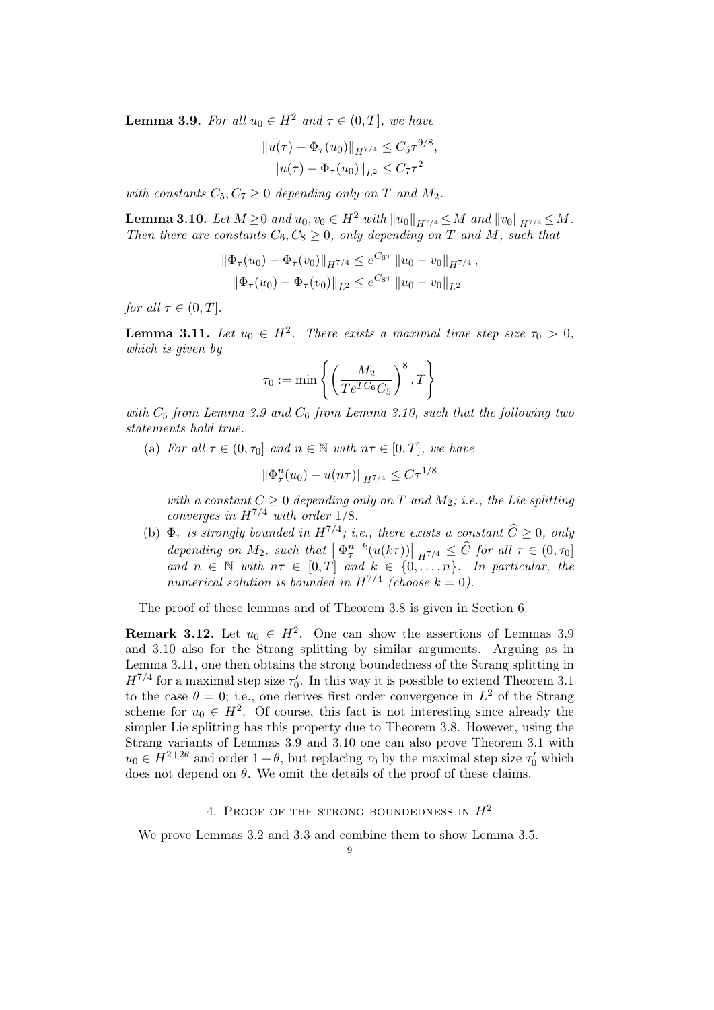**Lemma 3.9.** For all  $u_0 \in H^2$  and  $\tau \in (0, T]$ , we have

$$
||u(\tau) - \Phi_{\tau}(u_0)||_{H^{7/4}} \leq C_5 \tau^{9/8},
$$
  

$$
||u(\tau) - \Phi_{\tau}(u_0)||_{L^2} \leq C_7 \tau^2
$$

with constants  $C_5, C_7 \geq 0$  depending only on T and  $M_2$ .

**Lemma 3.10.** Let  $M \ge 0$  and  $u_0, v_0 \in H^2$  with  $||u_0||_{H^{7/4}} \le M$  and  $||v_0||_{H^{7/4}} \le M$ . Then there are constants  $C_6, C_8 \geq 0$ , only depending on T and M, such that

$$
\|\Phi_{\tau}(u_0) - \Phi_{\tau}(v_0)\|_{H^{7/4}} \le e^{C_6 \tau} \|u_0 - v_0\|_{H^{7/4}},
$$
  

$$
\|\Phi_{\tau}(u_0) - \Phi_{\tau}(v_0)\|_{L^2} \le e^{C_8 \tau} \|u_0 - v_0\|_{L^2}
$$

for all  $\tau \in (0, T]$ .

**Lemma 3.11.** Let  $u_0 \in H^2$ . There exists a maximal time step size  $\tau_0 > 0$ , which is given by

$$
\tau_0:=\min\left\{\left(\frac{M_2}{Te^{TC_6}C_5}\right)^8, T\right\}
$$

with  $C_5$  from Lemma 3.9 and  $C_6$  from Lemma 3.10, such that the following two statements hold true.

(a) For all  $\tau \in (0, \tau_0]$  and  $n \in \mathbb{N}$  with  $n\tau \in [0, T]$ , we have

$$
\|\Phi_{\tau}^n(u_0) - u(n\tau)\|_{H^{7/4}} \le C\tau^{1/8}
$$

with a constant  $C \geq 0$  depending only on T and  $M_2$ ; i.e., the Lie splitting converges in  $H^{7/4}$  with order 1/8.

(b)  $\Phi_{\tau}$  is strongly bounded in  $H^{7/4}$ ; i.e., there exists a constant  $\widehat{C} \geq 0$ , only depending on  $M_2$ , such that  $\left\|\Phi_{\tau}^{n-k}(u(k\tau))\right\|_{H^{7/4}} \leq \widehat{C}$  for all  $\tau \in (0, \tau_0]$ and  $n \in \mathbb{N}$  with  $n\tau \in [0, T]$  and  $k \in \{0, \ldots, n\}$ . In particular, the numerical solution is bounded in  $H^{7/4}$  (choose  $k = 0$ ).

The proof of these lemmas and of Theorem 3.8 is given in Section 6.

**Remark 3.12.** Let  $u_0 \in H^2$ . One can show the assertions of Lemmas 3.9 and 3.10 also for the Strang splitting by similar arguments. Arguing as in Lemma 3.11, one then obtains the strong boundedness of the Strang splitting in  $H^{7/4}$  for a maximal step size  $\tau_0'$ . In this way it is possible to extend Theorem 3.1 to the case  $\theta = 0$ ; i.e., one derives first order convergence in  $L^2$  of the Strang scheme for  $u_0 \in H^2$ . Of course, this fact is not interesting since already the simpler Lie splitting has this property due to Theorem 3.8. However, using the Strang variants of Lemmas 3.9 and 3.10 one can also prove Theorem 3.1 with  $u_0 \in H^{2+2\theta}$  and order  $1+\theta$ , but replacing  $\tau_0$  by the maximal step size  $\tau'_0$  which does not depend on  $\theta$ . We omit the details of the proof of these claims.

### 4. PROOF OF THE STRONG BOUNDEDNESS IN  $H^2$

We prove Lemmas 3.2 and 3.3 and combine them to show Lemma 3.5.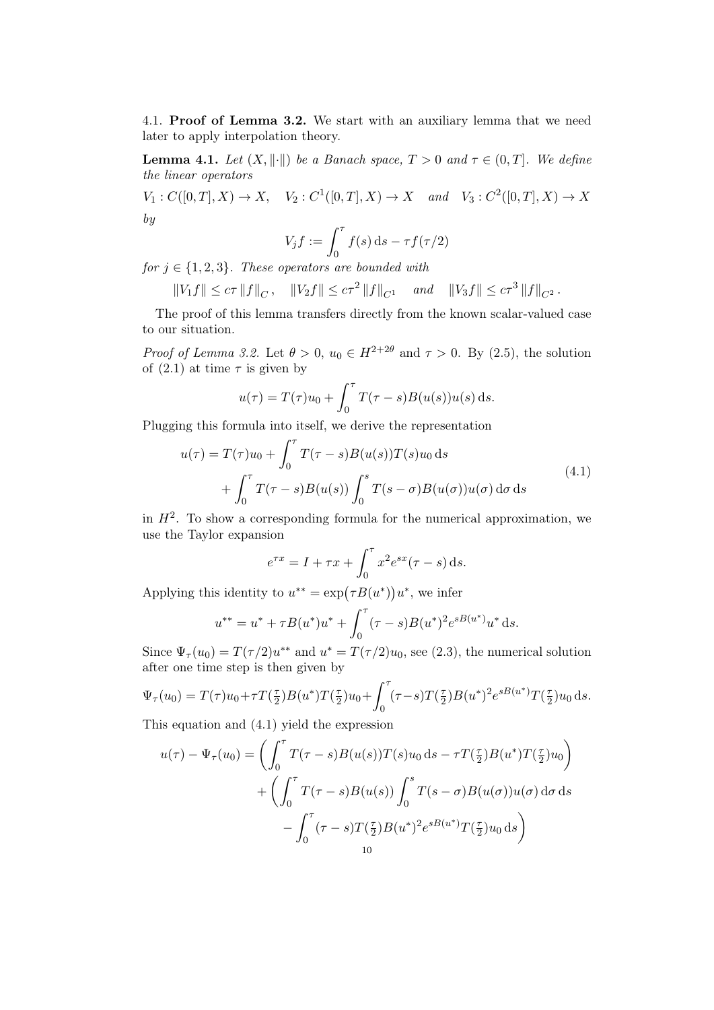4.1. Proof of Lemma 3.2. We start with an auxiliary lemma that we need later to apply interpolation theory.

**Lemma 4.1.** Let  $(X, \|\cdot\|)$  be a Banach space,  $T > 0$  and  $\tau \in (0, T]$ . We define the linear operators

 $V_1: C([0,T], X) \to X$ ,  $V_2: C^1([0,T], X) \to X$  and  $V_3: C^2([0,T], X) \to X$ by

$$
V_j f := \int_0^\tau f(s) \, \mathrm{d} s - \tau f(\tau/2)
$$

for  $j \in \{1,2,3\}$ . These operators are bounded with

$$
||V_1 f|| \leq c\tau ||f||_C, \quad ||V_2 f|| \leq c\tau^2 ||f||_{C^1} \quad and \quad ||V_3 f|| \leq c\tau^3 ||f||_{C^2}.
$$

The proof of this lemma transfers directly from the known scalar-valued case to our situation.

*Proof of Lemma 3.2.* Let  $\theta > 0$ ,  $u_0 \in H^{2+2\theta}$  and  $\tau > 0$ . By (2.5), the solution of  $(2.1)$  at time  $\tau$  is given by

$$
u(\tau) = T(\tau)u_0 + \int_0^{\tau} T(\tau - s)B(u(s))u(s) ds.
$$

Plugging this formula into itself, we derive the representation

$$
u(\tau) = T(\tau)u_0 + \int_0^{\tau} T(\tau - s)B(u(s))T(s)u_0 ds
$$
  
+ 
$$
\int_0^{\tau} T(\tau - s)B(u(s)) \int_0^s T(s - \sigma)B(u(\sigma))u(\sigma) d\sigma ds
$$
 (4.1)

in  $H^2$ . To show a corresponding formula for the numerical approximation, we use the Taylor expansion

$$
e^{\tau x} = I + \tau x + \int_0^{\tau} x^2 e^{sx} (\tau - s) \, \mathrm{d}s.
$$

Applying this identity to  $u^{**} = \exp(\tau B(u^*))u^*$ , we infer

$$
u^{**} = u^* + \tau B(u^*)u^* + \int_0^{\tau} (\tau - s)B(u^*)^2 e^{sB(u^*)} u^* ds.
$$

Since  $\Psi_{\tau}(u_0) = T(\tau/2)u^{**}$  and  $u^* = T(\tau/2)u_0$ , see (2.3), the numerical solution after one time step is then given by

$$
\Psi_{\tau}(u_0) = T(\tau)u_0 + \tau T(\frac{\tau}{2})B(u^*)T(\frac{\tau}{2})u_0 + \int_0^{\tau} (\tau - s)T(\frac{\tau}{2})B(u^*)^2 e^{sB(u^*)}T(\frac{\tau}{2})u_0 ds.
$$

This equation and (4.1) yield the expression

$$
u(\tau) - \Psi_{\tau}(u_0) = \left( \int_0^{\tau} T(\tau - s)B(u(s))T(s)u_0 ds - \tau T(\frac{\tau}{2})B(u^*)T(\frac{\tau}{2})u_0 \right) + \left( \int_0^{\tau} T(\tau - s)B(u(s)) \int_0^s T(s - \sigma)B(u(\sigma))u(\sigma) d\sigma ds \right) - \int_0^{\tau} (\tau - s)T(\frac{\tau}{2})B(u^*)^2 e^{sB(u^*)}T(\frac{\tau}{2})u_0 ds \right)
$$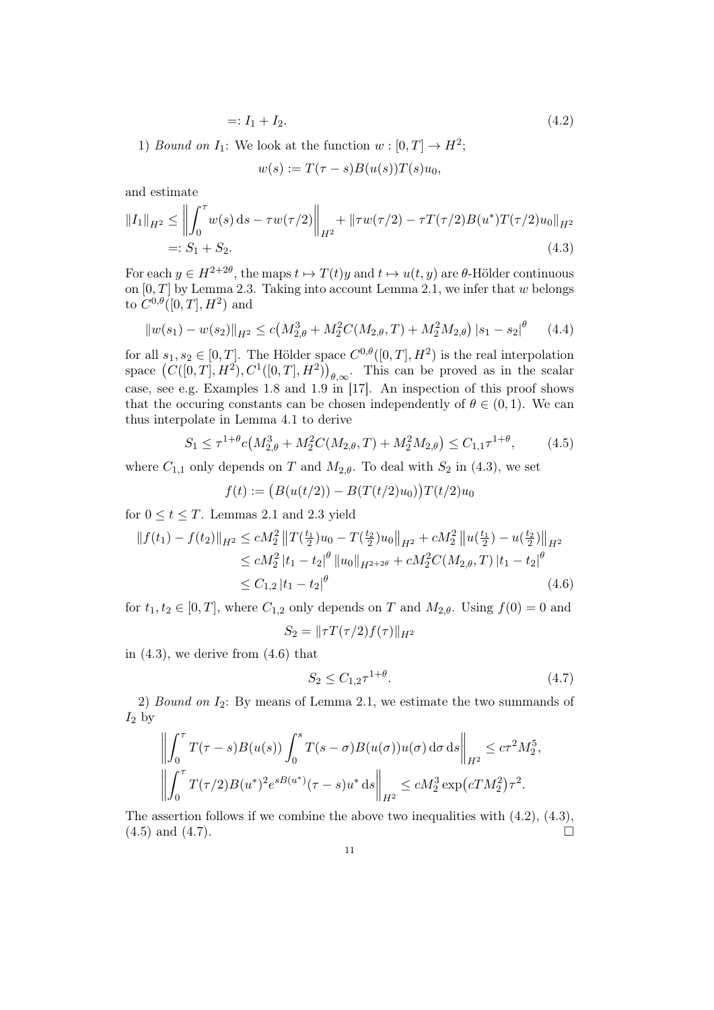$$
=: I_1 + I_2. \tag{4.2}
$$

1) *Bound on*  $I_1$ : We look at the function  $w : [0, T] \to H^2$ ;

$$
w(s) := T(\tau - s)B(u(s))T(s)u_0,
$$

and estimate

$$
||I_1||_{H^2} \le ||\int_0^\tau w(s) ds - \tau w(\tau/2)||_{H^2} + ||\tau w(\tau/2) - \tau T(\tau/2)B(u^*)T(\tau/2)u_0||_{H^2}
$$
  
=:  $S_1 + S_2.$  (4.3)

For each  $y \in H^{2+2\theta}$ , the maps  $t \mapsto T(t)y$  and  $t \mapsto u(t, y)$  are  $\theta$ -Hölder continuous on  $[0, T]$  by Lemma 2.3. Taking into account Lemma 2.1, we infer that w belongs to  $C^{0,\theta}([0,T],H^2)$  and

$$
||w(s_1) - w(s_2)||_{H^2} \le c\left(M_{2,\theta}^3 + M_2^2 C(M_{2,\theta}, T) + M_2^2 M_{2,\theta}\right) |s_1 - s_2|^{\theta} \tag{4.4}
$$

for all  $s_1, s_2 \in [0, T]$ . The Hölder space  $C^{0,\theta}([0, T], H^2)$  is the real interpolation space  $(C([0,T], H^2), C^1([0,T], H^2))_{\theta,\infty}$ . This can be proved as in the scalar case, see e.g. Examples 1.8 and 1.9 in [17]. An inspection of this proof shows that the occuring constants can be chosen independently of  $\theta \in (0, 1)$ . We can thus interpolate in Lemma 4.1 to derive

$$
S_1 \le \tau^{1+\theta} c \big( M_{2,\theta}^3 + M_2^2 C(M_{2,\theta}, T) + M_2^2 M_{2,\theta} \big) \le C_{1,1} \tau^{1+\theta},\tag{4.5}
$$

where  $C_{1,1}$  only depends on T and  $M_{2,\theta}$ . To deal with  $S_2$  in (4.3), we set

$$
f(t) := (B(u(t/2)) - B(T(t/2)u_0))T(t/2)u_0
$$

for  $0 \le t \le T$ . Lemmas 2.1 and 2.3 yield

$$
||f(t_1) - f(t_2)||_{H^2} \le cM_2^2 ||T(\frac{t_1}{2})u_0 - T(\frac{t_2}{2})u_0||_{H^2} + cM_2^2 ||u(\frac{t_1}{2}) - u(\frac{t_2}{2})||_{H^2}
$$
  
\n
$$
\le cM_2^2 |t_1 - t_2|^{\theta} ||u_0||_{H^{2+2\theta}} + cM_2^2 C(M_{2,\theta}, T) |t_1 - t_2|^{\theta}
$$
  
\n
$$
\le C_{1,2} |t_1 - t_2|^{\theta}
$$
\n(4.6)

for  $t_1, t_2 \in [0, T]$ , where  $C_{1,2}$  only depends on T and  $M_{2,\theta}$ . Using  $f(0) = 0$  and  $S_2 = ||\tau T(\tau /2) f(\tau)||_{H^2}$ 

in  $(4.3)$ , we derive from  $(4.6)$  that

$$
S_2 \le C_{1,2} \tau^{1+\theta}.\tag{4.7}
$$

2) Bound on  $I_2$ : By means of Lemma 2.1, we estimate the two summands of  $I_2$  by

$$
\left\| \int_0^{\tau} T(\tau - s) B(u(s)) \int_0^s T(s - \sigma) B(u(\sigma)) u(\sigma) d\sigma ds \right\|_{H^2} \leq c\tau^2 M_2^5,
$$
  

$$
\left\| \int_0^{\tau} T(\tau/2) B(u^*)^2 e^{sB(u^*)} (\tau - s) u^* ds \right\|_{H^2} \leq c M_2^3 \exp(cT M_2^2) \tau^2.
$$

The assertion follows if we combine the above two inequalities with (4.2), (4.3),  $(4.5)$  and  $(4.7)$ .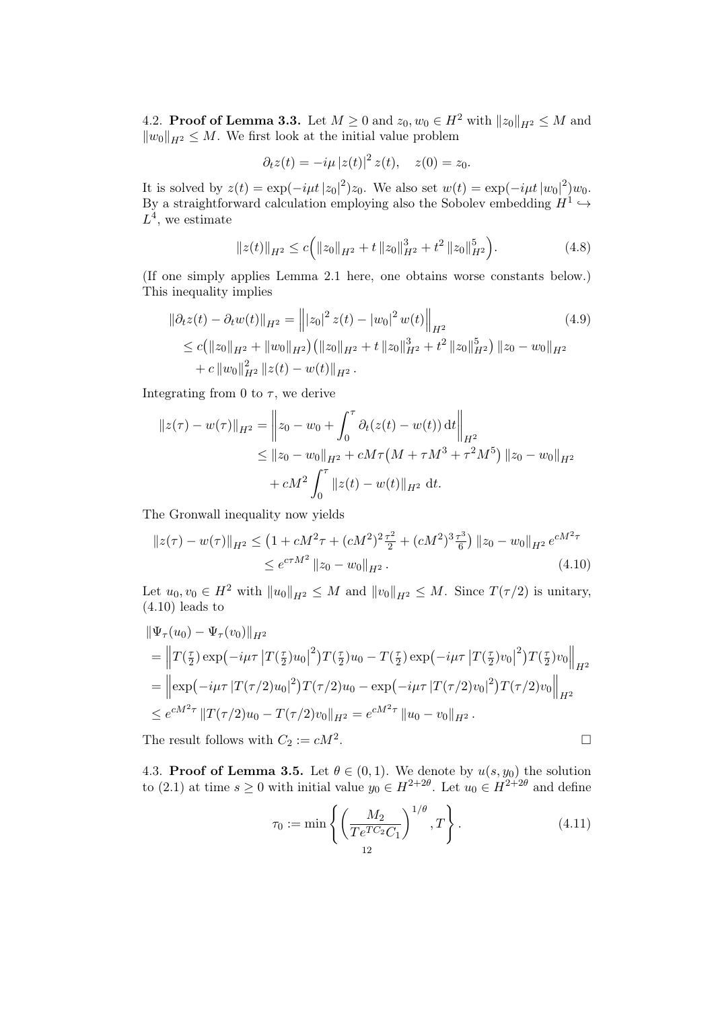4.2. **Proof of Lemma 3.3.** Let  $M \ge 0$  and  $z_0, w_0 \in H^2$  with  $||z_0||_{H^2} \le M$  and  $||w_0||_{H^2} \leq M$ . We first look at the initial value problem

$$
\partial_t z(t) = -i\mu |z(t)|^2 z(t), \quad z(0) = z_0.
$$

It is solved by  $z(t) = \exp(-i\mu t |z_0|^2)z_0$ . We also set  $w(t) = \exp(-i\mu t |w_0|^2)w_0$ . By a straightforward calculation employing also the Sobolev embedding  $H^1 \hookrightarrow$  $L^4$ , we estimate

$$
||z(t)||_{H^2} \le c \Big( ||z_0||_{H^2} + t ||z_0||_{H^2}^3 + t^2 ||z_0||_{H^2}^5 \Big). \tag{4.8}
$$

(If one simply applies Lemma 2.1 here, one obtains worse constants below.) This inequality implies

$$
\|\partial_t z(t) - \partial_t w(t)\|_{H^2} = \left\| |z_0|^2 z(t) - |w_0|^2 w(t) \right\|_{H^2}
$$
\n
$$
\leq c \left( \|z_0\|_{H^2} + \|w_0\|_{H^2} \right) \left( \|z_0\|_{H^2} + t \|z_0\|_{H^2}^3 + t^2 \|z_0\|_{H^2}^5 \right) \|z_0 - w_0\|_{H^2}
$$
\n
$$
+ c \|w_0\|_{H^2}^2 \|z(t) - w(t)\|_{H^2}.
$$
\n(4.9)

Integrating from 0 to  $\tau$ , we derive

$$
||z(\tau) - w(\tau)||_{H^2} = ||z_0 - w_0 + \int_0^{\tau} \partial_t (z(t) - w(t)) dt||_{H^2}
$$
  
\n
$$
\le ||z_0 - w_0||_{H^2} + cM\tau (M + \tau M^3 + \tau^2 M^5) ||z_0 - w_0||_{H^2}
$$
  
\n
$$
+ cM^2 \int_0^{\tau} ||z(t) - w(t)||_{H^2} dt.
$$

The Gronwall inequality now yields

$$
\|z(\tau) - w(\tau)\|_{H^2} \le (1 + cM^2 \tau + (cM^2)^2 \frac{\tau^2}{2} + (cM^2)^3 \frac{\tau^3}{6}) \|z_0 - w_0\|_{H^2} e^{cM^2 \tau} \le e^{cM^2} \|z_0 - w_0\|_{H^2}.
$$
\n(4.10)

Let  $u_0, v_0 \in H^2$  with  $||u_0||_{H^2} \leq M$  and  $||v_0||_{H^2} \leq M$ . Since  $T(\tau/2)$  is unitary,  $(4.10)$  leads to

$$
\begin{split}\n\|\Psi_{\tau}(u_{0}) - \Psi_{\tau}(v_{0})\|_{H^{2}} \\
&= \left\| T(\frac{\tau}{2}) \exp\left(-i\mu\tau \left| T(\frac{\tau}{2})u_{0} \right|^{2}\right) T(\frac{\tau}{2})u_{0} - T(\frac{\tau}{2}) \exp\left(-i\mu\tau \left| T(\frac{\tau}{2})v_{0} \right|^{2}\right) T(\frac{\tau}{2})v_{0} \right\|_{H^{2}} \\
&= \left\| \exp\left(-i\mu\tau \left| T(\tau/2)u_{0} \right|^{2}\right) T(\tau/2)u_{0} - \exp\left(-i\mu\tau \left| T(\tau/2)v_{0} \right|^{2}\right) T(\tau/2)v_{0} \right\|_{H^{2}} \\
&\leq e^{cM^{2}\tau} \left\| T(\tau/2)u_{0} - T(\tau/2)v_{0} \right\|_{H^{2}} = e^{cM^{2}\tau} \left\| u_{0} - v_{0} \right\|_{H^{2}}.\n\end{split}
$$
\nThe result follows with  $C_{2} := cM^{2}$ .

The result follows with  $C_2 := cM^2$ .

4.3. Proof of Lemma 3.5. Let  $\theta \in (0,1)$ . We denote by  $u(s, y_0)$  the solution to (2.1) at time  $s \ge 0$  with initial value  $y_0 \in H^{2+2\theta}$ . Let  $u_0 \in H^{2+2\theta}$  and define

$$
\tau_0 := \min \left\{ \left( \frac{M_2}{Te^{TC_2}C_1} \right)^{1/\theta}, T \right\}.
$$
\n(4.11)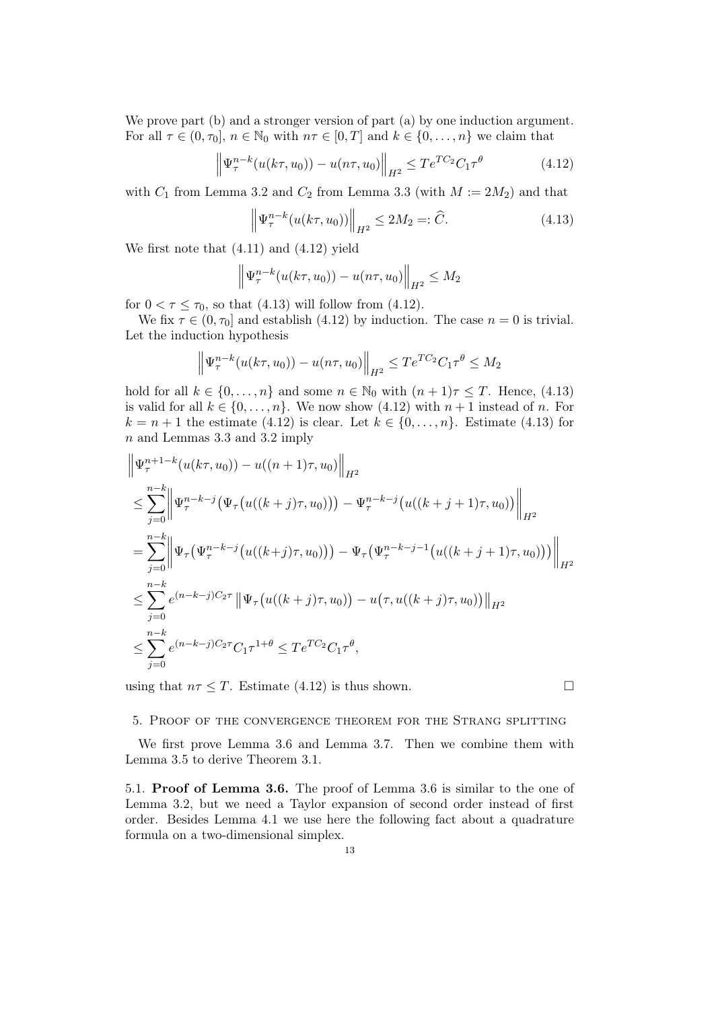We prove part (b) and a stronger version of part (a) by one induction argument. For all  $\tau \in (0, \tau_0], n \in \mathbb{N}_0$  with  $n\tau \in [0, T]$  and  $k \in \{0, \ldots, n\}$  we claim that

$$
\left\| \Psi_{\tau}^{n-k}(u(k\tau, u_0)) - u(n\tau, u_0) \right\|_{H^2} \le T e^{TC_2} C_1 \tau^{\theta}
$$
\n(4.12)

with  $C_1$  from Lemma 3.2 and  $C_2$  from Lemma 3.3 (with  $M := 2M_2$ ) and that

$$
\left\| \Psi_{\tau}^{n-k}(u(k\tau, u_0)) \right\|_{H^2} \le 2M_2 =: \widehat{C}.
$$
 (4.13)

We first note that (4.11) and (4.12) yield

$$
\left\|\Psi_{\tau}^{n-k}(u(k\tau,u_0)) - u(n\tau,u_0)\right\|_{H^2} \le M_2
$$

for  $0 < \tau \leq \tau_0$ , so that (4.13) will follow from (4.12).

We fix  $\tau \in (0, \tau_0]$  and establish (4.12) by induction. The case  $n = 0$  is trivial. Let the induction hypothesis

$$
\left\|\Psi_{\tau}^{n-k}(u(k\tau,u_0)) - u(n\tau,u_0)\right\|_{H^2} \le Te^{TC_2}C_1\tau^{\theta} \le M_2
$$

hold for all  $k \in \{0, \ldots, n\}$  and some  $n \in \mathbb{N}_0$  with  $(n+1)\tau \leq T$ . Hence, (4.13) is valid for all  $k \in \{0, \ldots, n\}$ . We now show  $(4.12)$  with  $n+1$  instead of n. For  $k = n + 1$  the estimate (4.12) is clear. Let  $k \in \{0, \ldots, n\}$ . Estimate (4.13) for n and Lemmas 3.3 and 3.2 imply

$$
\begin{split}\n&\left\|\Psi_{\tau}^{n+1-k}(u(k\tau,u_0)) - u((n+1)\tau,u_0)\right\|_{H^2} \\
&\leq \sum_{j=0}^{n-k} \left\|\Psi_{\tau}^{n-k-j}(\Psi_{\tau}\big(u((k+j)\tau,u_0)\big)\big) - \Psi_{\tau}^{n-k-j}\big(u((k+j+1)\tau,u_0)\big)\right\|_{H^2} \\
&= \sum_{j=0}^{n-k} \left\|\Psi_{\tau}\big(\Psi_{\tau}^{n-k-j}\big(u((k+j)\tau,u_0)\big)\big) - \Psi_{\tau}\big(\Psi_{\tau}^{n-k-j-1}\big(u((k+j+1)\tau,u_0)\big)\big)\right\|_{H^2} \\
&\leq \sum_{j=0}^{n-k} e^{(n-k-j)C_2\tau} \left\|\Psi_{\tau}\big(u((k+j)\tau,u_0)\big) - u\big(\tau,u((k+j)\tau,u_0)\big)\right\|_{H^2} \\
&\leq \sum_{j=0}^{n-k} e^{(n-k-j)C_2\tau} C_1\tau^{1+\theta} \leq T e^{TC_2} C_1\tau^{\theta},\n\end{split}
$$

using that  $n\tau \leq T$ . Estimate (4.12) is thus shown.

### 5. Proof of the convergence theorem for the Strang splitting

We first prove Lemma 3.6 and Lemma 3.7. Then we combine them with Lemma 3.5 to derive Theorem 3.1.

5.1. Proof of Lemma 3.6. The proof of Lemma 3.6 is similar to the one of Lemma 3.2, but we need a Taylor expansion of second order instead of first order. Besides Lemma 4.1 we use here the following fact about a quadrature formula on a two-dimensional simplex.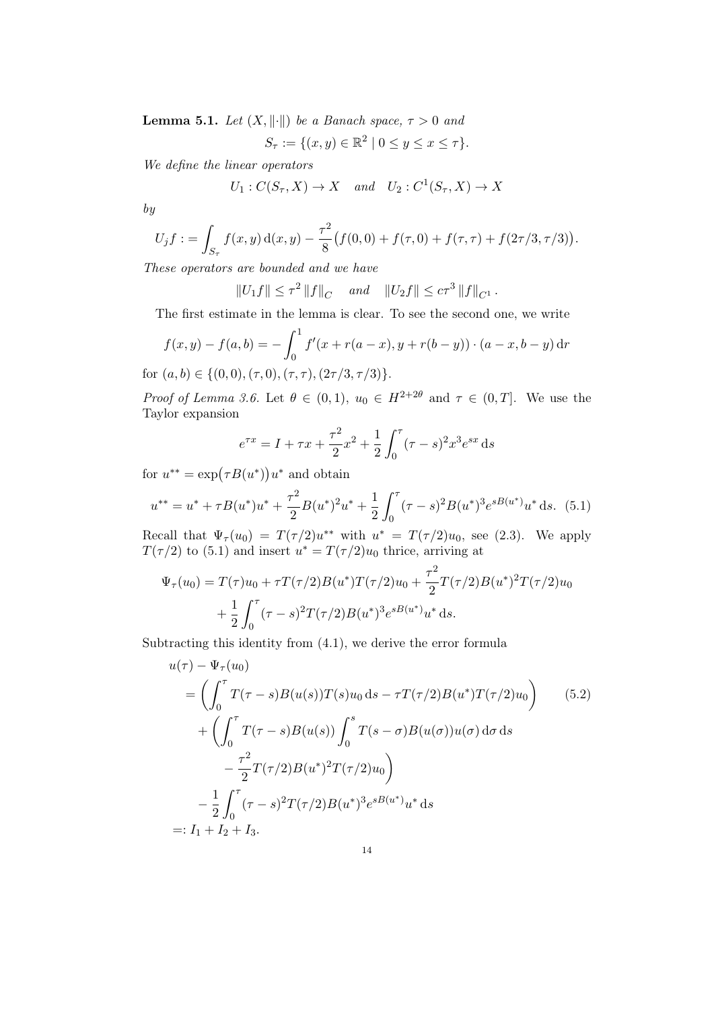**Lemma 5.1.** Let  $(X, \|\cdot\|)$  be a Banach space,  $\tau > 0$  and

$$
S_{\tau} := \{ (x, y) \in \mathbb{R}^2 \mid 0 \le y \le x \le \tau \}.
$$

We define the linear operators

$$
U_1: C(S_{\tau}, X) \to X \quad and \quad U_2: C^1(S_{\tau}, X) \to X
$$

by

$$
U_j f := \int_{S_{\tau}} f(x, y) d(x, y) - \frac{\tau^2}{8} (f(0, 0) + f(\tau, 0) + f(\tau, \tau) + f(2\tau/3, \tau/3)).
$$

These operators are bounded and we have

 $||U_1 f|| \leq \tau^2 ||f||_C$  and  $||U_2 f|| \leq c\tau^3 ||f||_{C^1}$ .

The first estimate in the lemma is clear. To see the second one, we write

$$
f(x,y) - f(a,b) = -\int_0^1 f'(x + r(a-x), y + r(b-y)) \cdot (a-x, b-y) \, dr
$$
  
for  $(a, b) \in \{(0, 0), (\tau, 0), (\tau, \tau), (2\tau/3, \tau/3)\}.$ 

Proof of Lemma 3.6. Let  $\theta \in (0,1)$ ,  $u_0 \in H^{2+2\theta}$  and  $\tau \in (0,T]$ . We use the Taylor expansion

$$
e^{\tau x} = I + \tau x + \frac{\tau^2}{2}x^2 + \frac{1}{2}\int_0^{\tau} (\tau - s)^2 x^3 e^{sx} ds
$$

for  $u^{**} = \exp(\tau B(u^*))u^*$  and obtain

$$
u^{**} = u^* + \tau B(u^*)u^* + \frac{\tau^2}{2}B(u^*)^2u^* + \frac{1}{2}\int_0^\tau (\tau - s)^2B(u^*)^3e^{sB(u^*)}u^* ds. \tag{5.1}
$$

Recall that  $\Psi_{\tau}(u_0) = T(\tau/2)u^{**}$  with  $u^* = T(\tau/2)u_0$ , see (2.3). We apply  $T(\tau/2)$  to (5.1) and insert  $u^* = T(\tau/2)u_0$  thrice, arriving at

$$
\Psi_{\tau}(u_0) = T(\tau)u_0 + \tau T(\tau/2)B(u^*)T(\tau/2)u_0 + \frac{\tau^2}{2}T(\tau/2)B(u^*)^2T(\tau/2)u_0
$$

$$
+ \frac{1}{2}\int_0^{\tau} (\tau - s)^2 T(\tau/2)B(u^*)^3 e^{sB(u^*)} u^* ds.
$$

Subtracting this identity from (4.1), we derive the error formula

$$
u(\tau) - \Psi_{\tau}(u_0)
$$
  
=  $\left( \int_0^{\tau} T(\tau - s)B(u(s))T(s)u_0 ds - \tau T(\tau/2)B(u^*)T(\tau/2)u_0 \right)$  (5.2)  
+  $\left( \int_0^{\tau} T(\tau - s)B(u(s)) \int_0^s T(s - \sigma)B(u(\sigma))u(\sigma) d\sigma ds - \frac{\tau^2}{2} T(\tau/2)B(u^*)^2 T(\tau/2)u_0 \right)$   
-  $\frac{1}{2} \int_0^{\tau} (\tau - s)^2 T(\tau/2)B(u^*)^3 e^{sB(u^*)} u^* ds$   
=:  $I_1 + I_2 + I_3$ .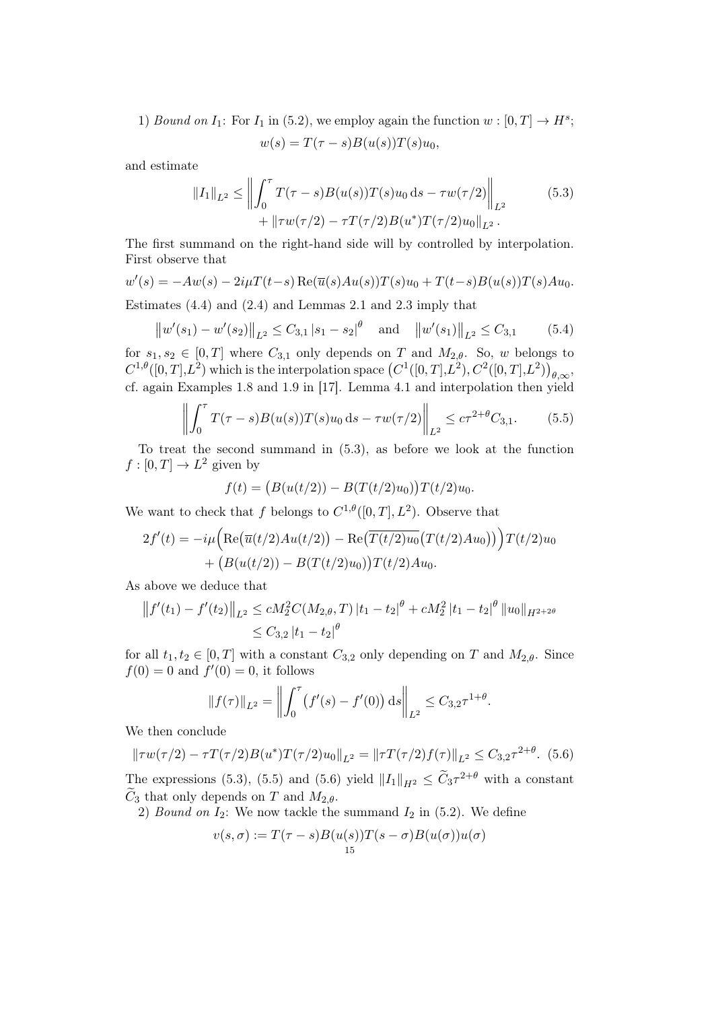1) Bound on  $I_1$ : For  $I_1$  in (5.2), we employ again the function  $w : [0, T] \to H^s$ ;

$$
w(s) = T(\tau - s)B(u(s))T(s)u_0,
$$

and estimate

$$
||I_1||_{L^2} \le \left\| \int_0^{\tau} T(\tau - s) B(u(s)) T(s) u_0 \, ds - \tau w(\tau/2) \right\|_{L^2} + ||\tau w(\tau/2) - \tau T(\tau/2) B(u^*) T(\tau/2) u_0||_{L^2}.
$$
 (5.3)

The first summand on the right-hand side will by controlled by interpolation. First observe that

$$
w'(s) = -Aw(s) - 2i\mu T(t-s) \operatorname{Re}(\overline{u}(s)Au(s))T(s)u_0 + T(t-s)B(u(s))T(s)Au_0.
$$

Estimates (4.4) and (2.4) and Lemmas 2.1 and 2.3 imply that

$$
\|w'(s_1) - w'(s_2)\|_{L^2} \le C_{3,1} |s_1 - s_2|^\theta \quad \text{and} \quad \|w'(s_1)\|_{L^2} \le C_{3,1} \tag{5.4}
$$

for  $s_1, s_2 \in [0, T]$  where  $C_{3,1}$  only depends on T and  $M_{2,\theta}$ . So, w belongs to  $C^{1,\theta}([0,T],L^2)$  which is the interpolation space  $(C^1([0,T],L^2),C^2([0,T],L^2))_{\theta,\infty}$ , cf. again Examples 1.8 and 1.9 in [17]. Lemma 4.1 and interpolation then yield

$$
\left\| \int_0^{\tau} T(\tau - s) B(u(s)) T(s) u_0 ds - \tau w(\tau/2) \right\|_{L^2} \leq c \tau^{2 + \theta} C_{3,1}.
$$
 (5.5)

To treat the second summand in (5.3), as before we look at the function  $f:[0,T] \to L^2$  given by

$$
f(t) = (B(u(t/2)) - B(T(t/2)u_0))T(t/2)u_0.
$$

We want to check that f belongs to  $C^{1,\theta}([0,T], L^2)$ . Observe that

$$
2f'(t) = -i\mu \Big( \text{Re}(\overline{u}(t/2)Au(t/2)) - \text{Re}(\overline{T(t/2)u_0}(T(t/2)Au_0)) \Big) T(t/2)u_0 + (B(u(t/2)) - B(T(t/2)u_0)) T(t/2)Au_0.
$$

As above we deduce that

$$
|| f'(t_1) - f'(t_2)||_{L^2} \le c M_2^2 C(M_{2,\theta}, T) |t_1 - t_2|^{\theta} + c M_2^2 |t_1 - t_2|^{\theta} ||u_0||_{H^{2+2\theta}}
$$
  
 
$$
\le C_{3,2} |t_1 - t_2|^{\theta}
$$

for all  $t_1, t_2 \in [0, T]$  with a constant  $C_{3,2}$  only depending on T and  $M_{2,\theta}$ . Since  $f(0) = 0$  and  $f'(0) = 0$ , it follows

$$
||f(\tau)||_{L^2} = \left\| \int_0^{\tau} (f'(s) - f'(0)) ds \right\|_{L^2} \leq C_{3,2} \tau^{1+\theta}.
$$

We then conclude

$$
\|\tau w(\tau/2) - \tau T(\tau/2)B(u^*)T(\tau/2)u_0\|_{L^2} = \|\tau T(\tau/2)f(\tau)\|_{L^2} \le C_{3,2}\tau^{2+\theta}.
$$
 (5.6)

The expressions (5.3), (5.5) and (5.6) yield  $||I_1||_{H^2} \leq \widetilde{C}_3 \tau^{2+\theta}$  with a constant  $\widetilde{C}_3$  that only depends on T and  $M_{2,\theta}$ .

2) Bound on  $I_2$ : We now tackle the summand  $I_2$  in (5.2). We define

$$
v(s,\sigma) := T(\tau - s)B(u(s))T(s-\sigma)B(u(\sigma))u(\sigma)
$$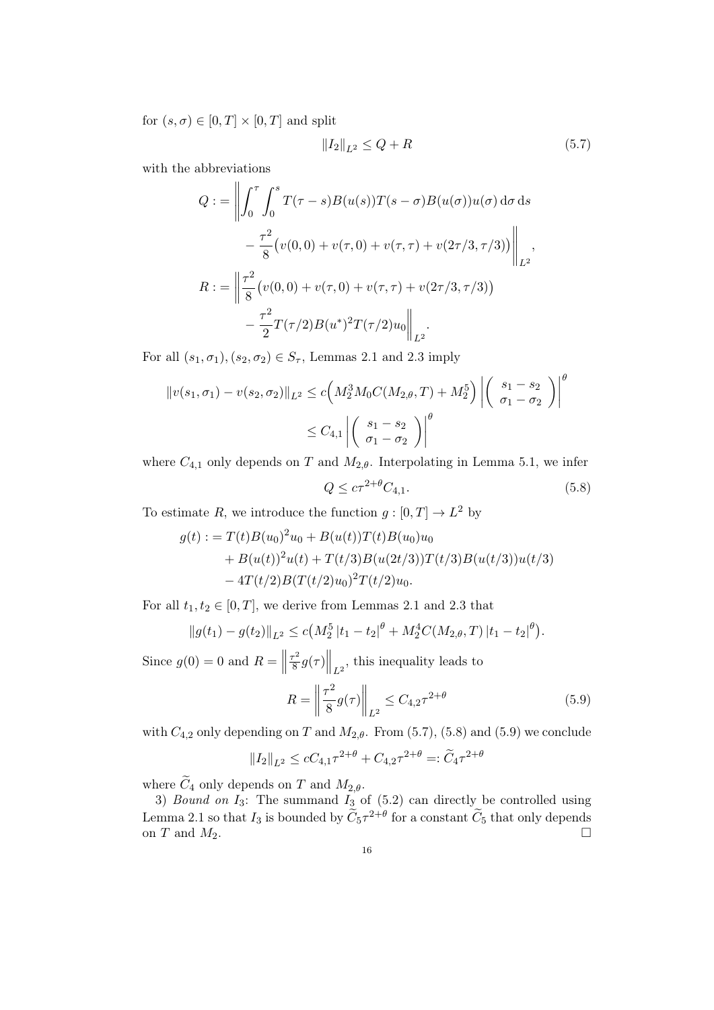for  $(s, \sigma) \in [0, T] \times [0, T]$  and split

$$
||I_2||_{L^2} \le Q + R \tag{5.7}
$$

with the abbreviations

$$
Q := \left\| \int_0^{\tau} \int_0^s T(\tau - s) B(u(s)) T(s - \sigma) B(u(\sigma)) u(\sigma) d\sigma ds - \frac{\tau^2}{8} (v(0, 0) + v(\tau, 0) + v(\tau, \tau) + v(2\tau/3, \tau/3)) \right\|_{L^2},
$$
  

$$
R := \left\| \frac{\tau^2}{8} (v(0, 0) + v(\tau, 0) + v(\tau, \tau) + v(2\tau/3, \tau/3)) - \frac{\tau^2}{2} T(\tau/2) B(u^*)^2 T(\tau/2) u_0 \right\|_{L^2}.
$$

For all  $(s_1, \sigma_1), (s_2, \sigma_2) \in S_{\tau}$ , Lemmas 2.1 and 2.3 imply

$$
||v(s_1, \sigma_1) - v(s_2, \sigma_2)||_{L^2} \le c \Big(M_2^3 M_0 C(M_{2,\theta}, T) + M_2^5\Big) \left| \left(\begin{array}{c} s_1 - s_2 \\ \sigma_1 - \sigma_2 \end{array}\right) \right|^\theta
$$
  
 
$$
\le C_{4,1} \left| \left(\begin{array}{c} s_1 - s_2 \\ \sigma_1 - \sigma_2 \end{array}\right) \right|^\theta
$$

where  $C_{4,1}$  only depends on T and  $M_{2,\theta}$ . Interpolating in Lemma 5.1, we infer

$$
Q \le c\tau^{2+\theta}C_{4,1}.\tag{5.8}
$$

To estimate R, we introduce the function  $g: [0, T] \to L^2$  by

$$
g(t) := T(t)B(u_0)^2u_0 + B(u(t))T(t)B(u_0)u_0
$$
  
+ B(u(t))<sup>2</sup>u(t) + T(t/3)B(u(2t/3))T(t/3)B(u(t/3))u(t/3)  
- 4T(t/2)B(T(t/2)u\_0)<sup>2</sup>T(t/2)u\_0.

For all  $t_1, t_2 \in [0, T]$ , we derive from Lemmas 2.1 and 2.3 that

$$
||g(t_1) - g(t_2)||_{L^2} \le c\big(M_2^5 |t_1 - t_2|^{\theta} + M_2^4 C(M_{2,\theta},T) |t_1 - t_2|^{\theta}\big).
$$

Since  $g(0) = 0$  and  $R =$  $\tau^2$  $\frac{\sigma^2}{8}g(\tau)\Big\|_{L^2}$ , this inequality leads to

$$
R = \left\| \frac{\tau^2}{8} g(\tau) \right\|_{L^2} \le C_{4,2} \tau^{2+\theta} \tag{5.9}
$$

with  $C_{4,2}$  only depending on T and  $M_{2,\theta}$ . From (5.7), (5.8) and (5.9) we conclude

$$
||I_2||_{L^2} \le cC_{4,1}\tau^{2+\theta} + C_{4,2}\tau^{2+\theta} =: \widetilde{C}_4\tau^{2+\theta}
$$

where  $\widetilde{C}_4$  only depends on T and  $M_{2,\theta}$ .

3) Bound on  $I_3$ : The summand  $I_3$  of (5.2) can directly be controlled using Lemma 2.1 so that  $I_3$  is bounded by  $\widetilde{C}_5 \tau^{2+\theta}$  for a constant  $\widetilde{C}_5$  that only depends on T and  $M_2$ .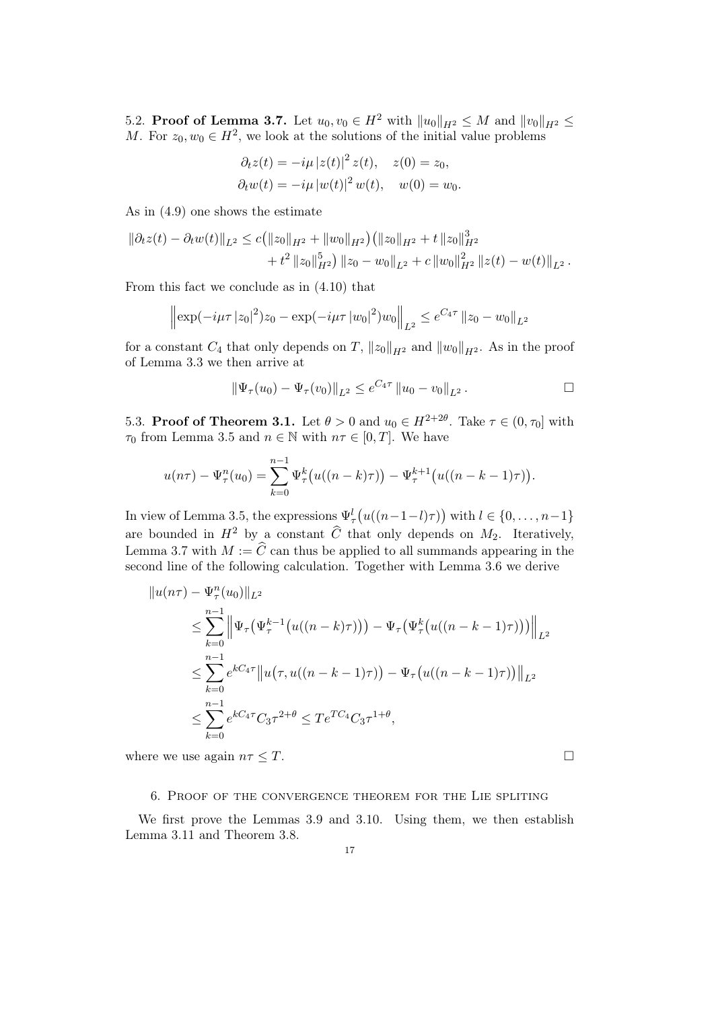5.2. **Proof of Lemma 3.7.** Let  $u_0, v_0 \in H^2$  with  $||u_0||_{H^2} \leq M$  and  $||v_0||_{H^2} \leq$ M. For  $z_0, w_0 \in H^2$ , we look at the solutions of the initial value problems

$$
\partial_t z(t) = -i\mu |z(t)|^2 z(t), \quad z(0) = z_0,
$$
  

$$
\partial_t w(t) = -i\mu |w(t)|^2 w(t), \quad w(0) = w_0.
$$

As in (4.9) one shows the estimate

$$
\begin{aligned} \|\partial_t z(t) - \partial_t w(t)\|_{L^2} &\leq c \big( \|z_0\|_{H^2} + \|w_0\|_{H^2} \big) \big( \|z_0\|_{H^2} + t \|z_0\|_{H^2}^3 \\ &+ t^2 \|z_0\|_{H^2}^5 \big) \, \|z_0 - w_0\|_{L^2} + c \, \|w_0\|_{H^2}^2 \, \|z(t) - w(t)\|_{L^2} \,. \end{aligned}
$$

From this fact we conclude as in (4.10) that

$$
\left\|\exp(-i\mu\tau |z_0|^2)z_0 - \exp(-i\mu\tau |w_0|^2)w_0\right\|_{L^2} \le e^{C_4\tau} \|z_0 - w_0\|_{L^2}
$$

for a constant  $C_4$  that only depends on T,  $||z_0||_{H^2}$  and  $||w_0||_{H^2}$ . As in the proof of Lemma 3.3 we then arrive at

$$
\|\Psi_{\tau}(u_0)-\Psi_{\tau}(v_0)\|_{L^2}\leq e^{C_4\tau}\,\|u_0-v_0\|_{L^2}.
$$

5.3. **Proof of Theorem 3.1.** Let  $\theta > 0$  and  $u_0 \in H^{2+2\theta}$ . Take  $\tau \in (0, \tau_0]$  with  $\tau_0$  from Lemma 3.5 and  $n \in \mathbb{N}$  with  $n\tau \in [0, T]$ . We have

$$
u(n\tau) - \Psi_{\tau}^{n}(u_0) = \sum_{k=0}^{n-1} \Psi_{\tau}^{k}(u((n-k)\tau)) - \Psi_{\tau}^{k+1}(u((n-k-1)\tau)).
$$

In view of Lemma 3.5, the expressions  $\Psi_{\tau}^{l}(u((n-1-l)\tau))$  with  $l \in \{0, ..., n-1\}$ are bounded in  $H^2$  by a constant  $\widehat{C}$  that only depends on  $M_2$ . Iteratively, Lemma 3.7 with  $M := \widehat{C}$  can thus be applied to all summands appearing in the second line of the following calculation. Together with Lemma 3.6 we derive

$$
||u(n\tau) - \Psi_{\tau}^{n}(u_{0})||_{L^{2}}
$$
  
\n
$$
\leq \sum_{k=0}^{n-1} ||\Psi_{\tau}(\Psi_{\tau}^{k-1}(u((n-k)\tau))) - \Psi_{\tau}(\Psi_{\tau}^{k}(u((n-k-1)\tau)))||_{L^{2}}
$$
  
\n
$$
\leq \sum_{k=0}^{n-1} e^{kC_{4}\tau} ||u(\tau, u((n-k-1)\tau)) - \Psi_{\tau}(u((n-k-1)\tau))||_{L^{2}}
$$
  
\n
$$
\leq \sum_{k=0}^{n-1} e^{kC_{4}\tau} C_{3}\tau^{2+\theta} \leq T e^{TC_{4}} C_{3}\tau^{1+\theta},
$$

where we use again  $n\tau \leq T$ .

# 6. Proof of the convergence theorem for the Lie spliting

We first prove the Lemmas 3.9 and 3.10. Using them, we then establish Lemma 3.11 and Theorem 3.8.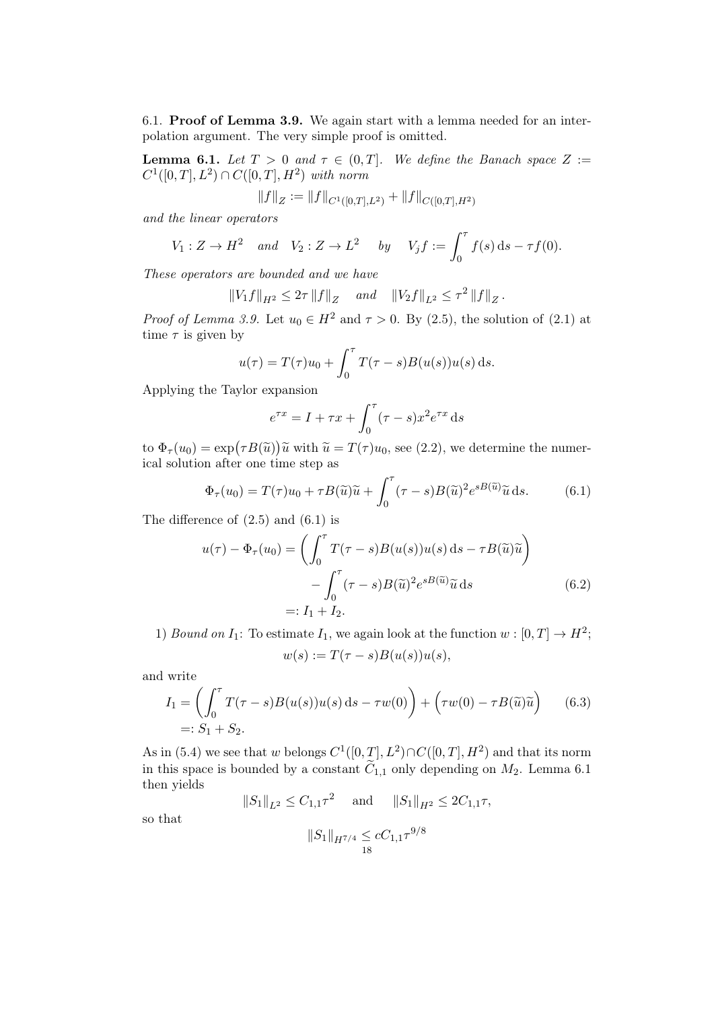6.1. Proof of Lemma 3.9. We again start with a lemma needed for an interpolation argument. The very simple proof is omitted.

**Lemma 6.1.** Let  $T > 0$  and  $\tau \in (0, T]$ . We define the Banach space  $Z :=$  $C^1([0,T], L^2) \cap C([0,T], H^2)$  with norm

$$
||f||_Z := ||f||_{C^1([0,T],L^2)} + ||f||_{C([0,T],H^2)}
$$

and the linear operators

$$
V_1: Z \to H^2 \quad and \quad V_2: Z \to L^2 \quad by \quad V_j f := \int_0^\tau f(s) \, ds - \tau f(0).
$$

These operators are bounded and we have

$$
||V_1 f||_{H^2} \leq 2\tau ||f||_Z
$$
 and  $||V_2 f||_{L^2} \leq \tau^2 ||f||_Z$ .

*Proof of Lemma 3.9.* Let  $u_0 \in H^2$  and  $\tau > 0$ . By (2.5), the solution of (2.1) at time  $\tau$  is given by

$$
u(\tau) = T(\tau)u_0 + \int_0^{\tau} T(\tau - s)B(u(s))u(s) ds.
$$

Applying the Taylor expansion

$$
e^{\tau x} = I + \tau x + \int_0^{\tau} (\tau - s) x^2 e^{\tau x} ds
$$

to  $\Phi_{\tau}(u_0) = \exp(\tau B(\tilde{u}))\tilde{u}$  with  $\tilde{u} = T(\tau)u_0$ , see (2.2), we determine the numerical solution after one time step as

$$
\Phi_{\tau}(u_0) = T(\tau)u_0 + \tau B(\tilde{u})\tilde{u} + \int_0^{\tau} (\tau - s)B(\tilde{u})^2 e^{sB(\tilde{u})} \tilde{u} ds.
$$
 (6.1)

The difference of  $(2.5)$  and  $(6.1)$  is

$$
u(\tau) - \Phi_{\tau}(u_0) = \left( \int_0^{\tau} T(\tau - s) B(u(s)) u(s) \, ds - \tau B(\tilde{u}) \tilde{u} \right)
$$

$$
- \int_0^{\tau} (\tau - s) B(\tilde{u})^2 e^{sB(\tilde{u})} \tilde{u} \, ds \qquad (6.2)
$$

$$
=: I_1 + I_2.
$$

1) Bound on  $I_1$ : To estimate  $I_1$ , we again look at the function  $w : [0, T] \to H^2$ ;  $w(s) := T(\tau - s)B(u(s))u(s),$ 

and write

$$
I_1 = \left(\int_0^{\tau} T(\tau - s)B(u(s))u(s) ds - \tau w(0)\right) + \left(\tau w(0) - \tau B(\tilde{u})\tilde{u}\right)
$$
(6.3)  
=:  $S_1 + S_2$ .

As in (5.4) we see that w belongs  $C^1([0,T], L^2) \cap C([0,T], H^2)$  and that its norm in this space is bounded by a constant  $\widetilde{C}_{1,1}$  only depending on  $M_2$ . Lemma 6.1 then yields

$$
||S_1||_{L^2} \leq C_{1,1}\tau^2
$$
 and  $||S_1||_{H^2} \leq 2C_{1,1}\tau$ ,

so that

$$
||S_1||_{H^{7/4}} \leq cC_{1,1}\tau^{9/8}
$$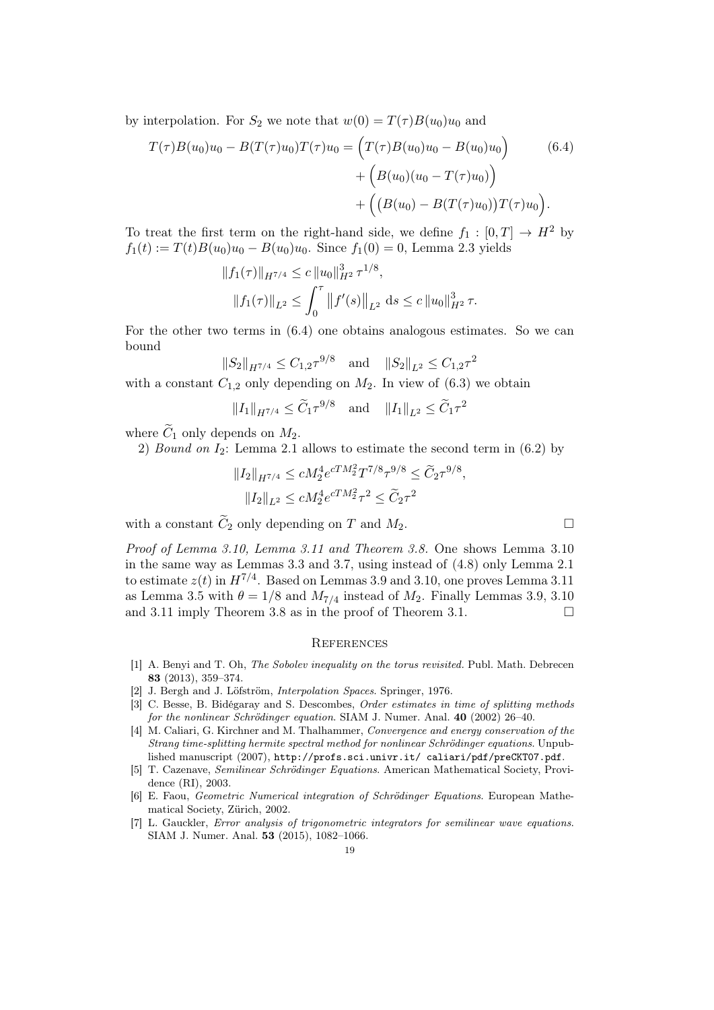by interpolation. For  $S_2$  we note that  $w(0) = T(\tau)B(u_0)u_0$  and

$$
T(\tau)B(u_0)u_0 - B(T(\tau)u_0)T(\tau)u_0 = (T(\tau)B(u_0)u_0 - B(u_0)u_0) \qquad (6.4)
$$

$$
+ (B(u_0)(u_0 - T(\tau)u_0)) + ((B(u_0) - B(T(\tau)u_0))T(\tau)u_0).
$$

To treat the first term on the right-hand side, we define  $f_1 : [0, T] \rightarrow H^2$  by  $f_1(t) := T(t)B(u_0)u_0 - B(u_0)u_0$ . Since  $f_1(0) = 0$ , Lemma 2.3 yields

$$
||f_1(\tau)||_{H^{7/4}} \le c ||u_0||_{H^2}^3 \tau^{1/8},
$$
  

$$
||f_1(\tau)||_{L^2} \le \int_0^{\tau} ||f'(s)||_{L^2} ds \le c ||u_0||_{H^2}^3 \tau.
$$

For the other two terms in (6.4) one obtains analogous estimates. So we can bound

$$
||S_2||_{H^{7/4}} \leq C_{1,2} \tau^{9/8}
$$
 and  $||S_2||_{L^2} \leq C_{1,2} \tau^2$ 

with a constant  $C_{1,2}$  only depending on  $M_2$ . In view of  $(6.3)$  we obtain

 $||I_1||_{H^{7/4}} \leq \widetilde{C}_1 \tau^{9/8}$  and  $||I_1||_{L^2} \leq \widetilde{C}_1 \tau^2$ 

where  $\widetilde{C}_1$  only depends on  $M_2$ .

2) Bound on  $I_2$ : Lemma 2.1 allows to estimate the second term in  $(6.2)$  by

$$
||I_2||_{H^{7/4}} \le cM_2^4 e^{cTM_2^2} T^{7/8} \tau^{9/8} \le \widetilde{C}_2 \tau^{9/8},
$$
  

$$
||I_2||_{L^2} \le cM_2^4 e^{cTM_2^2} \tau^2 \le \widetilde{C}_2 \tau^2
$$

with a constant  $\widetilde{C}_2$  only depending on T and  $M_2$ .

Proof of Lemma 3.10, Lemma 3.11 and Theorem 3.8. One shows Lemma 3.10 in the same way as Lemmas 3.3 and 3.7, using instead of (4.8) only Lemma 2.1 to estimate  $z(t)$  in  $H^{7/4}$ . Based on Lemmas 3.9 and 3.10, one proves Lemma 3.11 as Lemma 3.5 with  $\theta = 1/8$  and  $M_{7/4}$  instead of  $M_2$ . Finally Lemmas 3.9, 3.10 and 3.11 imply Theorem 3.8 as in the proof of Theorem 3.1.

#### **REFERENCES**

- [1] A. Benyi and T. Oh, The Sobolev inequality on the torus revisited. Publ. Math. Debrecen 83 (2013), 359–374.
- [2] J. Bergh and J. Löfström, *Interpolation Spaces*. Springer, 1976.
- [3] C. Besse, B. Bidégaray and S. Descombes, Order estimates in time of splitting methods for the nonlinear Schrödinger equation. SIAM J. Numer. Anal. 40 (2002) 26–40.
- [4] M. Caliari, G. Kirchner and M. Thalhammer, *Convergence and energy conservation of the* Strang time-splitting hermite spectral method for nonlinear Schrödinger equations. Unpublished manuscript (2007), http://profs.sci.univr.it/ caliari/pdf/preCKT07.pdf.
- [5] T. Cazenave, Semilinear Schrödinger Equations. American Mathematical Society, Providence (RI), 2003.
- [6] E. Faou, Geometric Numerical integration of Schrödinger Equations. European Mathematical Society, Zürich, 2002.
- [7] L. Gauckler, Error analysis of trigonometric integrators for semilinear wave equations. SIAM J. Numer. Anal. 53 (2015), 1082–1066.